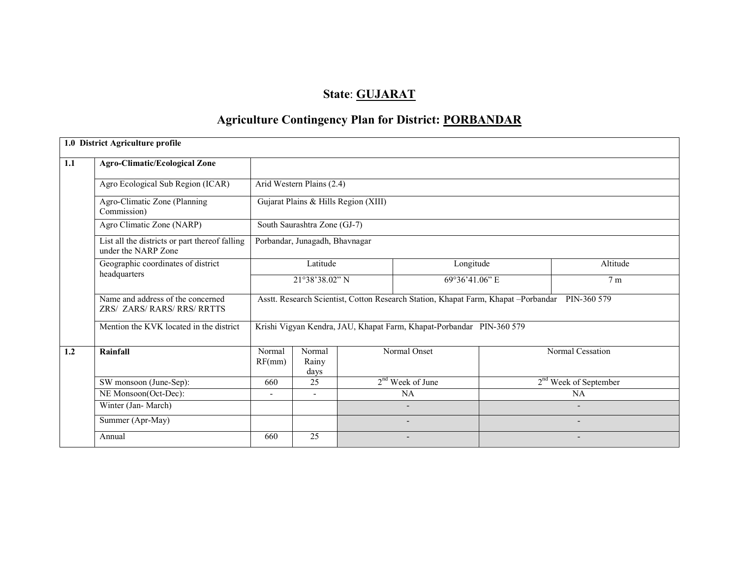# State: GUJARAT

# Agriculture Contingency Plan for District: PORBANDAR

|                                                | 1.0 District Agriculture profile                                      |                                                                         |                                |  |                                                                                    |  |                          |  |
|------------------------------------------------|-----------------------------------------------------------------------|-------------------------------------------------------------------------|--------------------------------|--|------------------------------------------------------------------------------------|--|--------------------------|--|
| 1.1                                            | <b>Agro-Climatic/Ecological Zone</b>                                  |                                                                         |                                |  |                                                                                    |  |                          |  |
|                                                | Agro Ecological Sub Region (ICAR)                                     | Arid Western Plains $(2.4)$                                             |                                |  |                                                                                    |  |                          |  |
|                                                | Agro-Climatic Zone (Planning<br>Commission)                           | Gujarat Plains & Hills Region (XIII)                                    |                                |  |                                                                                    |  |                          |  |
|                                                | Agro Climatic Zone (NARP)                                             |                                                                         | South Saurashtra Zone (GJ-7)   |  |                                                                                    |  |                          |  |
|                                                | List all the districts or part thereof falling<br>under the NARP Zone |                                                                         | Porbandar, Junagadh, Bhavnagar |  |                                                                                    |  |                          |  |
| Geographic coordinates of district<br>Latitude |                                                                       |                                                                         |                                |  | Longitude                                                                          |  | Altitude                 |  |
|                                                | headquarters                                                          |                                                                         | 21°38'38.02" N                 |  | 69°36'41.06" E                                                                     |  | 7 <sub>m</sub>           |  |
|                                                | Name and address of the concerned<br>ZRS/ ZARS/ RARS/ RRS/ RRTTS      |                                                                         |                                |  | Asstt. Research Scientist, Cotton Research Station, Khapat Farm, Khapat -Porbandar |  | PIN-360 579              |  |
|                                                | Mention the KVK located in the district                               |                                                                         |                                |  | Krishi Vigyan Kendra, JAU, Khapat Farm, Khapat-Porbandar PIN-360 579               |  |                          |  |
| 1.2                                            | Rainfall                                                              | Normal<br>RF(mm)                                                        | Normal<br>Rainy<br>days        |  | Normal Onset                                                                       |  | Normal Cessation         |  |
|                                                | SW monsoon (June-Sep):                                                | 660                                                                     | $\overline{25}$                |  | $2nd$ Week of June                                                                 |  | $2nd$ Week of September  |  |
|                                                | NE Monsoon(Oct-Dec):                                                  | <b>NA</b><br>NA<br>$\overline{\phantom{a}}$<br>$\overline{\phantom{a}}$ |                                |  |                                                                                    |  |                          |  |
|                                                | Winter (Jan-March)                                                    | $\overline{\phantom{0}}$                                                |                                |  |                                                                                    |  |                          |  |
|                                                | Summer (Apr-May)                                                      |                                                                         |                                |  | $\overline{\phantom{a}}$                                                           |  | $\overline{\phantom{0}}$ |  |
|                                                | Annual                                                                | 660                                                                     | 25                             |  | $\overline{\phantom{a}}$                                                           |  | $\overline{\phantom{a}}$ |  |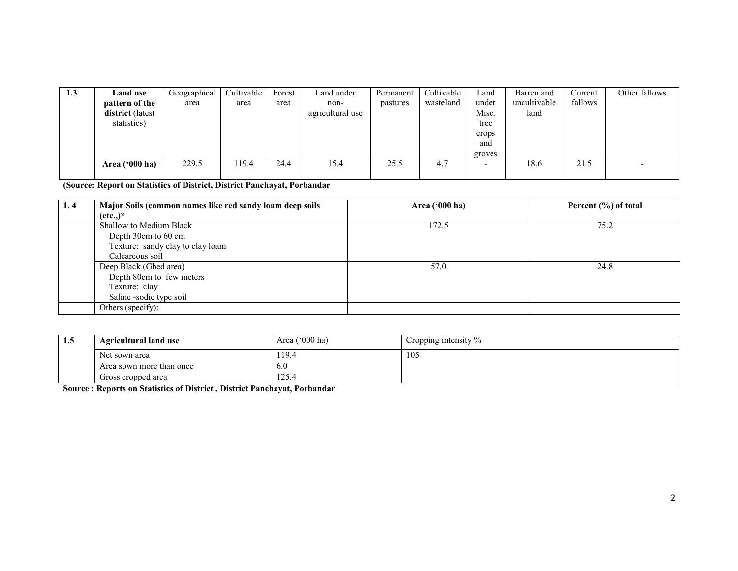| 1.3 | Land use         | Geographical | Cultivable | Forest | Land under       | Permanent | Cultivable | Land   | Barren and   | Current | Other fallows |
|-----|------------------|--------------|------------|--------|------------------|-----------|------------|--------|--------------|---------|---------------|
|     | pattern of the   | area         | area       | area   | non-             | pastures  | wasteland  | under  | uncultivable | fallows |               |
|     | district (latest |              |            |        | agricultural use |           |            | Misc.  | land         |         |               |
|     | statistics)      |              |            |        |                  |           |            | tree   |              |         |               |
|     |                  |              |            |        |                  |           |            | crops  |              |         |               |
|     |                  |              |            |        |                  |           |            | and    |              |         |               |
|     |                  |              |            |        |                  |           |            | groves |              |         |               |
|     | Area ('000 ha)   | 229.5        | 19.4       | 24.4   | 15.4             | 25.5      | 4.7        | -      | 18.6         | 21.5    |               |
|     |                  |              |            |        |                  |           |            |        |              |         |               |

(Source: Report on Statistics of District, District Panchayat, Porbandar

| 1.4 | Major Soils (common names like red sandy loam deep soils | Area $('000 ha)$ | Percent $(\% )$ of total |  |
|-----|----------------------------------------------------------|------------------|--------------------------|--|
|     | $(\text{etc.})^*$                                        |                  |                          |  |
|     | Shallow to Medium Black                                  | 172.5            | 75.2                     |  |
|     | Depth 30cm to 60 cm                                      |                  |                          |  |
|     | Texture: sandy clay to clay loam                         |                  |                          |  |
|     | Calcareous soil                                          |                  |                          |  |
|     | Deep Black (Ghed area)                                   | 57.0             | 24.8                     |  |
|     | Depth 80cm to few meters                                 |                  |                          |  |
|     | Texture: clay                                            |                  |                          |  |
|     | Saline -sodic type soil                                  |                  |                          |  |
|     | Others (specify):                                        |                  |                          |  |

| 1.5 | <b>Agricultural land use</b>                                                    | Area $('000 ha)$ | Cropping intensity $\%$ |
|-----|---------------------------------------------------------------------------------|------------------|-------------------------|
|     | Net sown area                                                                   | 19.4             | 105                     |
|     | Area sown more than once                                                        | 6.0              |                         |
|     | Gross cropped area                                                              | 125.4            |                         |
|     | <b>Source: Reports on Statistics of District, District Panchayat, Porbandar</b> |                  |                         |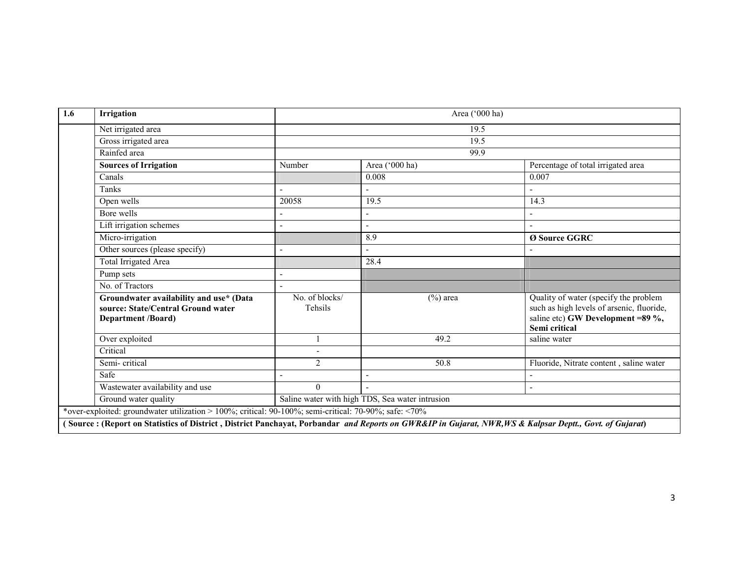| 1.6 | Irrigation                                                                                                                                              |                           | Area ('000 ha)                                  |                                                                                                                                          |  |  |  |  |
|-----|---------------------------------------------------------------------------------------------------------------------------------------------------------|---------------------------|-------------------------------------------------|------------------------------------------------------------------------------------------------------------------------------------------|--|--|--|--|
|     | Net irrigated area                                                                                                                                      |                           | 19.5                                            |                                                                                                                                          |  |  |  |  |
|     | Gross irrigated area                                                                                                                                    |                           | 19.5                                            |                                                                                                                                          |  |  |  |  |
|     | Rainfed area                                                                                                                                            |                           | 99.9                                            |                                                                                                                                          |  |  |  |  |
|     | <b>Sources of Irrigation</b>                                                                                                                            | Number                    | Area ('000 ha)                                  | Percentage of total irrigated area                                                                                                       |  |  |  |  |
|     | Canals                                                                                                                                                  |                           | 0.008                                           | 0.007                                                                                                                                    |  |  |  |  |
|     | Tanks                                                                                                                                                   |                           |                                                 |                                                                                                                                          |  |  |  |  |
|     | Open wells                                                                                                                                              | 20058                     | 19.5                                            | 14.3                                                                                                                                     |  |  |  |  |
|     | Bore wells                                                                                                                                              |                           |                                                 |                                                                                                                                          |  |  |  |  |
|     | Lift irrigation schemes                                                                                                                                 | L,                        | $\overline{a}$                                  |                                                                                                                                          |  |  |  |  |
|     | Micro-irrigation                                                                                                                                        |                           | 8.9                                             | Ø Source GGRC                                                                                                                            |  |  |  |  |
|     | Other sources (please specify)                                                                                                                          | $\overline{\phantom{0}}$  | $\overline{\phantom{a}}$                        |                                                                                                                                          |  |  |  |  |
|     | Total Irrigated Area                                                                                                                                    |                           | 28.4                                            |                                                                                                                                          |  |  |  |  |
|     | Pump sets                                                                                                                                               |                           |                                                 |                                                                                                                                          |  |  |  |  |
|     | No. of Tractors                                                                                                                                         |                           |                                                 |                                                                                                                                          |  |  |  |  |
|     | Groundwater availability and use* (Data<br>source: State/Central Ground water<br>Department /Board)                                                     | No. of blocks/<br>Tehsils | $(\%)$ area                                     | Quality of water (specify the problem<br>such as high levels of arsenic, fluoride,<br>saline etc) GW Development =89 %,<br>Semi critical |  |  |  |  |
|     | Over exploited                                                                                                                                          |                           | 49.2                                            | saline water                                                                                                                             |  |  |  |  |
|     | Critical                                                                                                                                                |                           |                                                 |                                                                                                                                          |  |  |  |  |
|     | Semi-critical                                                                                                                                           | 2                         | 50.8                                            | Fluoride, Nitrate content, saline water                                                                                                  |  |  |  |  |
|     | Safe                                                                                                                                                    |                           |                                                 |                                                                                                                                          |  |  |  |  |
|     | Wastewater availability and use                                                                                                                         | $\Omega$                  |                                                 |                                                                                                                                          |  |  |  |  |
|     | Ground water quality                                                                                                                                    |                           | Saline water with high TDS, Sea water intrusion |                                                                                                                                          |  |  |  |  |
|     | *over-exploited: groundwater utilization > 100%; critical: 90-100%; semi-critical: 70-90%; safe: <70%                                                   |                           |                                                 |                                                                                                                                          |  |  |  |  |
|     | (Source: (Report on Statistics of District, District Panchayat, Porbandar and Reports on GWR&IP in Gujarat, NWR, WS & Kalpsar Deptt., Govt. of Gujarat) |                           |                                                 |                                                                                                                                          |  |  |  |  |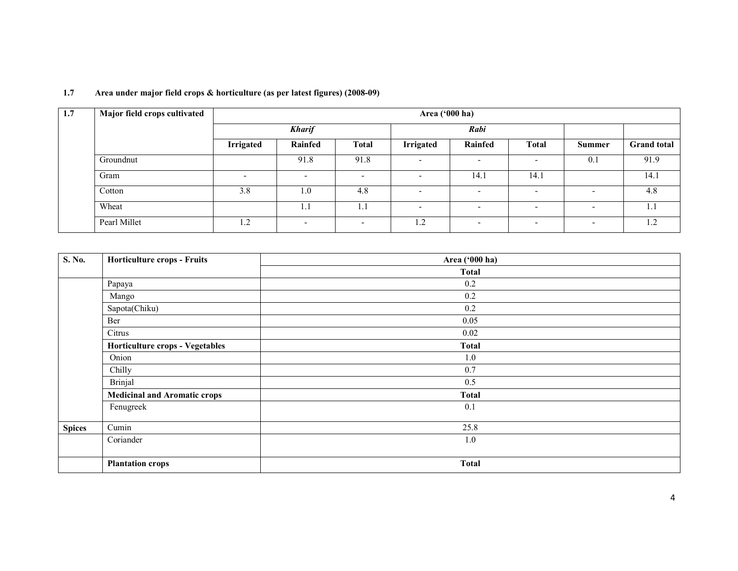| 1.7 | Major field crops cultivated |                          | Area ('000 ha) |              |                          |                          |                          |                          |                    |  |
|-----|------------------------------|--------------------------|----------------|--------------|--------------------------|--------------------------|--------------------------|--------------------------|--------------------|--|
|     |                              |                          | <b>Kharif</b>  |              |                          | Rabi                     |                          |                          |                    |  |
|     |                              | <b>Irrigated</b>         | Rainfed        | <b>Total</b> | <b>Irrigated</b>         | Rainfed                  | <b>Total</b>             | <b>Summer</b>            | <b>Grand</b> total |  |
|     | Groundnut                    |                          | 91.8           | 91.8         | $\overline{\phantom{0}}$ | $\overline{\phantom{0}}$ | $\overline{\phantom{0}}$ | 0.1                      | 91.9               |  |
|     | Gram                         | $\overline{\phantom{0}}$ | $\sim$         | -            | $\overline{\phantom{0}}$ | 14.1                     | 14.1                     |                          | 14.1               |  |
|     | Cotton                       | 3.8                      | 1.0            | 4.8          | $\overline{\phantom{a}}$ | $\overline{\phantom{0}}$ | $\overline{\phantom{0}}$ | $\overline{\phantom{0}}$ | 4.8                |  |
|     | Wheat                        |                          |                | 1.1          | $\overline{\phantom{a}}$ | $\overline{\phantom{0}}$ | $\overline{\phantom{a}}$ | $\overline{\phantom{0}}$ | 1.1                |  |
|     | Pearl Millet                 | 1.2                      | -              | -            | 1.2                      | $\overline{\phantom{0}}$ | $\overline{\phantom{0}}$ | $\overline{\phantom{a}}$ | 1.2                |  |

#### 1.7 Area under major field crops & horticulture (as per latest figures) (2008-09)

| S. No.        | Horticulture crops - Fruits            | Area ('000 ha) |
|---------------|----------------------------------------|----------------|
|               |                                        | Total          |
|               | Papaya                                 | 0.2            |
|               | Mango                                  | 0.2            |
|               | Sapota(Chiku)                          | 0.2            |
|               | Ber                                    | 0.05           |
|               | Citrus                                 | 0.02           |
|               | <b>Horticulture crops - Vegetables</b> | <b>Total</b>   |
|               | Onion                                  | 1.0            |
|               | Chilly                                 | 0.7            |
|               | Brinjal                                | 0.5            |
|               | <b>Medicinal and Aromatic crops</b>    | <b>Total</b>   |
|               | Fenugreek                              | 0.1            |
| <b>Spices</b> | Cumin                                  | 25.8           |
|               | Coriander                              | 1.0            |
|               | <b>Plantation crops</b>                | <b>Total</b>   |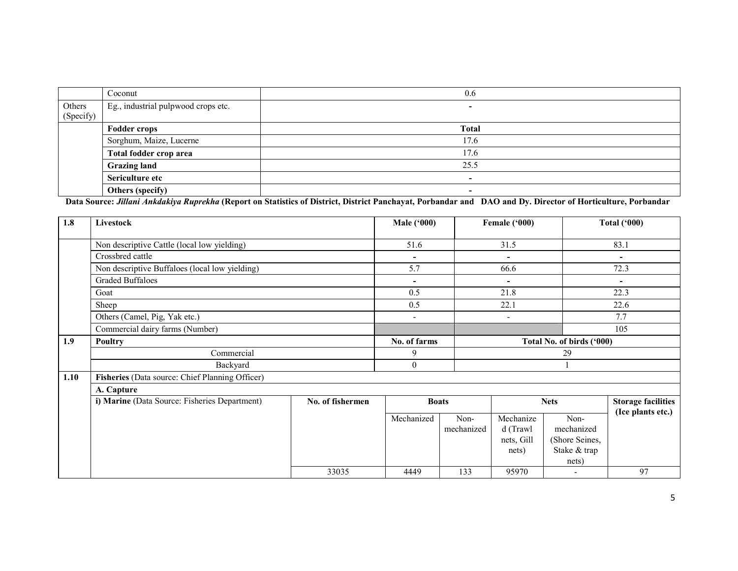|                     | Coconut                             | 0.6          |
|---------------------|-------------------------------------|--------------|
| Others<br>(Specify) | Eg., industrial pulpwood crops etc. | -            |
|                     | <b>Fodder crops</b>                 | <b>Total</b> |
|                     | Sorghum, Maize, Lucerne             | 17.6         |
|                     | Total fodder crop area              | 17.6         |
|                     | <b>Grazing land</b>                 | 25.5         |
|                     | Sericulture etc                     | -            |
|                     | Others (specify)                    | -            |

Others (specify)<br>
Data Source: *Jillani Ankdakiya Ruprekha* (Report on Statistics of District, District Panchayat, Porbandar and DAO and Dy. Director of Horticulture, Porbandar

| 1.8  | Livestock                                       |                          | <b>Male ('000)</b>       |                    | Female ('000)                                |                                                               | <b>Total ('000)</b>       |  |
|------|-------------------------------------------------|--------------------------|--------------------------|--------------------|----------------------------------------------|---------------------------------------------------------------|---------------------------|--|
|      | Non descriptive Cattle (local low yielding)     |                          | 51.6                     |                    | 31.5                                         |                                                               | 83.1                      |  |
|      | Crossbred cattle                                |                          | $\blacksquare$           |                    | $\blacksquare$                               |                                                               | $\overline{\phantom{a}}$  |  |
|      | Non descriptive Buffaloes (local low yielding)  | 5.7                      |                          | 66.6               |                                              | 72.3                                                          |                           |  |
|      | <b>Graded Buffaloes</b>                         | $\overline{\phantom{a}}$ |                          | ۰                  |                                              |                                                               |                           |  |
|      | Goat                                            |                          | 0.5                      |                    | 21.8                                         |                                                               | 22.3                      |  |
|      | Sheep                                           |                          | 0.5                      |                    | 22.1                                         |                                                               | 22.6                      |  |
|      | Others (Camel, Pig, Yak etc.)                   |                          | $\overline{\phantom{a}}$ |                    | $\overline{\phantom{a}}$                     |                                                               | 7.7                       |  |
|      | Commercial dairy farms (Number)                 |                          |                          |                    |                                              |                                                               | 105                       |  |
| 1.9  | <b>Poultry</b>                                  |                          | No. of farms             |                    | Total No. of birds ('000)                    |                                                               |                           |  |
|      | Commercial                                      |                          | 9                        |                    | 29                                           |                                                               |                           |  |
|      | Backyard                                        |                          | $\overline{0}$           |                    |                                              |                                                               |                           |  |
| 1.10 | Fisheries (Data source: Chief Planning Officer) |                          |                          |                    |                                              |                                                               |                           |  |
|      | A. Capture                                      |                          |                          |                    |                                              |                                                               |                           |  |
|      | i) Marine (Data Source: Fisheries Department)   | No. of fishermen         |                          | <b>Boats</b>       |                                              | <b>Nets</b>                                                   | <b>Storage facilities</b> |  |
|      |                                                 |                          | Mechanized               | Non-<br>mechanized | Mechanize<br>d (Trawl<br>nets, Gill<br>nets) | Non-<br>mechanized<br>(Shore Seines,<br>Stake & trap<br>nets) | (Ice plants etc.)         |  |
|      |                                                 | 33035                    | 4449                     | 133                | 95970                                        |                                                               | 97                        |  |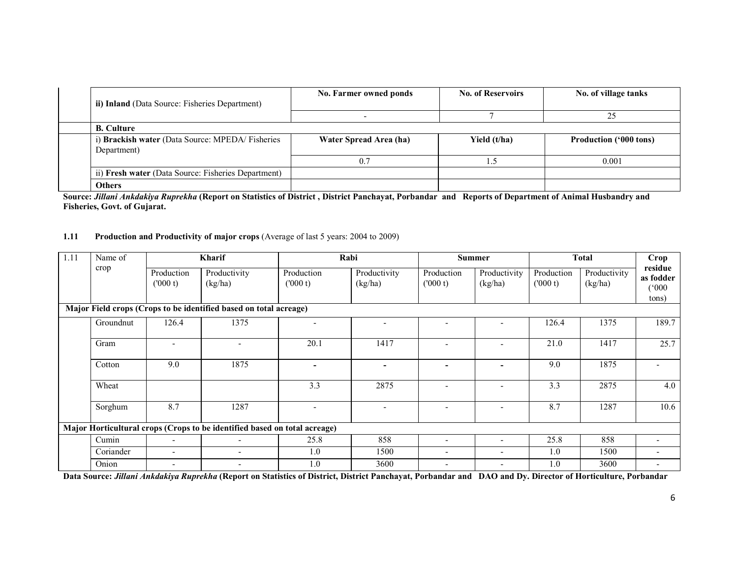| ii) Inland (Data Source: Fisheries Department)                  | No. Farmer owned ponds | <b>No. of Reservoirs</b> | No. of village tanks          |
|-----------------------------------------------------------------|------------------------|--------------------------|-------------------------------|
|                                                                 |                        |                          | 25                            |
| <b>B.</b> Culture                                               |                        |                          |                               |
| i) Brackish water (Data Source: MPEDA/ Fisheries<br>Department) | Water Spread Area (ha) | Yield (t/ha)             | <b>Production ('000 tons)</b> |
|                                                                 | 0.7                    |                          | 0.001                         |
| ii) Fresh water (Data Source: Fisheries Department)             |                        |                          |                               |
| <b>Others</b>                                                   |                        |                          |                               |

Source: Jillani Ankdakiya Ruprekha (Report on Statistics of District, District Panchayat, Porbandar and Reports of Department of Animal Husbandry and Fisheries, Govt. of Gujarat.

#### 1.11 Production and Productivity of major crops (Average of last 5 years: 2004 to 2009)

| 1.11 | Name of   |                          | <b>Kharif</b>                                                             | Rabi                     |                         | <b>Summer</b>            |                          | <b>Total</b>          |                         | Crop                                   |
|------|-----------|--------------------------|---------------------------------------------------------------------------|--------------------------|-------------------------|--------------------------|--------------------------|-----------------------|-------------------------|----------------------------------------|
|      | crop      | Production<br>(000 t)    | Productivity<br>(kg/ha)                                                   | Production<br>(000 t)    | Productivity<br>(kg/ha) | Production<br>(000 t)    | Productivity<br>(kg/ha)  | Production<br>(000 t) | Productivity<br>(kg/ha) | residue<br>as fodder<br>(000)<br>tons) |
|      |           |                          | Major Field crops (Crops to be identified based on total acreage)         |                          |                         |                          |                          |                       |                         |                                        |
|      | Groundnut | 126.4                    | 1375                                                                      | $\overline{\phantom{0}}$ |                         | $\overline{\phantom{a}}$ |                          | 126.4                 | 1375                    | 189.7                                  |
|      | Gram      |                          |                                                                           | 20.1                     | 1417                    | $\overline{\phantom{a}}$ |                          | 21.0                  | 1417                    | 25.7                                   |
|      | Cotton    | 9.0                      | 1875                                                                      |                          |                         |                          |                          | 9.0                   | 1875                    |                                        |
|      | Wheat     |                          |                                                                           | 3.3                      | 2875                    |                          |                          | 3.3                   | 2875                    | 4.0                                    |
|      | Sorghum   | 8.7                      | 1287                                                                      |                          |                         |                          |                          | 8.7                   | 1287                    | 10.6                                   |
|      |           |                          | Major Horticultural crops (Crops to be identified based on total acreage) |                          |                         |                          |                          |                       |                         |                                        |
|      | Cumin     | $\overline{\phantom{0}}$ | $\overline{\phantom{0}}$                                                  | 25.8                     | 858                     | $\overline{\phantom{0}}$ |                          | 25.8                  | 858                     | $\overline{\phantom{0}}$               |
|      | Coriander | $\overline{\phantom{0}}$ | $\overline{\phantom{0}}$                                                  | 1.0                      | 1500                    | $\overline{\phantom{a}}$ | $\overline{\phantom{a}}$ | 1.0                   | 1500                    | -                                      |
|      | Onion     | $\overline{\phantom{0}}$ | -                                                                         | 1.0                      | 3600                    | $\overline{\phantom{a}}$ | $\overline{\phantom{a}}$ | 1.0                   | 3600                    | $\overline{\phantom{0}}$               |

Data Source: *Jillani Ankdakiya Ruprekha* (Report on Statistics of District, District Panchayat, Porbandar and DAO and Dy. Director of Horticulture, Porbandar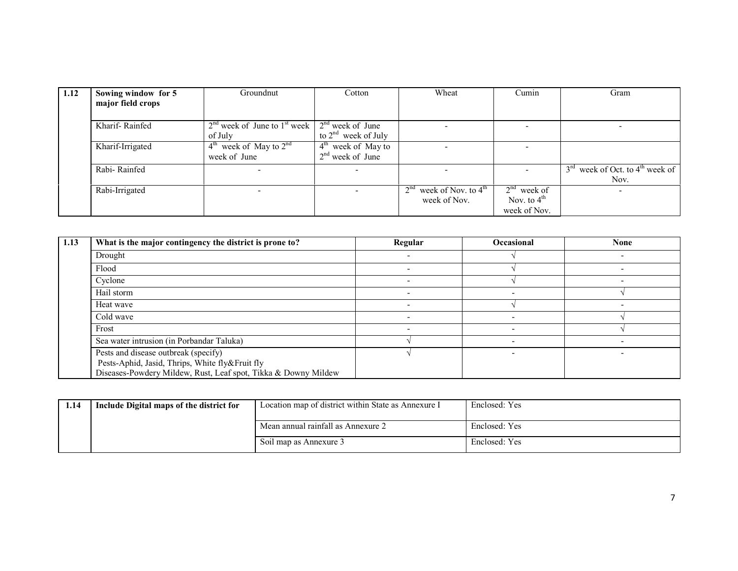| 1.12 | Sowing window for 5<br>major field crops | Groundnut                                                       | Cotton                   | Wheat                                 | Cumin                    | Gram                                          |
|------|------------------------------------------|-----------------------------------------------------------------|--------------------------|---------------------------------------|--------------------------|-----------------------------------------------|
|      |                                          |                                                                 |                          |                                       |                          |                                               |
|      | Kharif-Rainfed                           | $2nd$ week of June to 1 <sup>st</sup> week   $2nd$ week of June |                          |                                       | $\overline{\phantom{a}}$ |                                               |
|      |                                          | of July                                                         | to $2^{nd}$ week of July |                                       |                          |                                               |
|      | Kharif-Irrigated                         | $4th$ week of May to $2nd$                                      | $4th$ week of May to     |                                       |                          |                                               |
|      |                                          | week of June                                                    | $2nd$ week of June       |                                       |                          |                                               |
|      | Rabi-Rainfed                             |                                                                 |                          |                                       |                          | $3rd$ week of Oct. to 4 <sup>th</sup> week of |
|      |                                          |                                                                 |                          |                                       |                          | Nov.                                          |
|      | Rabi-Irrigated                           |                                                                 |                          | $2nd$ week of Nov. to 4 <sup>th</sup> | $2^{nd}$ week of         | -                                             |
|      |                                          |                                                                 |                          | week of Nov.                          | Nov. to $4th$            |                                               |
|      |                                          |                                                                 |                          |                                       | week of Nov.             |                                               |

| 1.13 | What is the major contingency the district is prone to?                                 | Regular | <b>Occasional</b> | <b>None</b> |
|------|-----------------------------------------------------------------------------------------|---------|-------------------|-------------|
|      | Drought                                                                                 |         |                   |             |
|      | Flood                                                                                   |         |                   |             |
|      | Cyclone                                                                                 |         |                   |             |
|      | Hail storm                                                                              |         |                   |             |
|      | Heat wave                                                                               |         |                   |             |
|      | Cold wave                                                                               |         |                   |             |
|      | Frost                                                                                   |         |                   |             |
|      | Sea water intrusion (in Porbandar Taluka)                                               |         |                   |             |
|      | Pests and disease outbreak (specify)<br>Pests-Aphid, Jasid, Thrips, White fly&Fruit fly |         |                   |             |
|      | Diseases-Powdery Mildew, Rust, Leaf spot, Tikka & Downy Mildew                          |         |                   |             |

| 1.14 | Include Digital maps of the district for | Location map of district within State as Annexure I | Enclosed: Yes |
|------|------------------------------------------|-----------------------------------------------------|---------------|
|      |                                          | Mean annual rainfall as Annexure 2                  | Enclosed: Yes |
|      |                                          | Soil map as Annexure 3                              | Enclosed: Yes |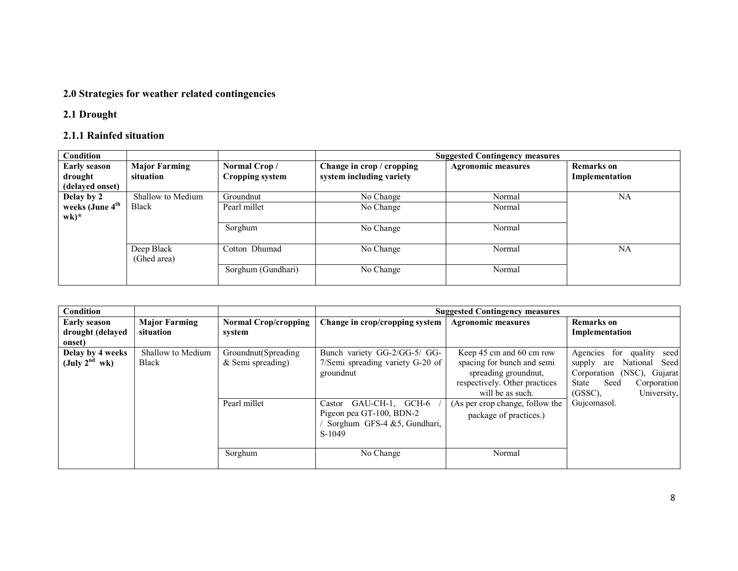#### 2.0 Strategies for weather related contingencies

#### 2.1 Drought

#### 2.1.1 Rainfed situation

| <b>Condition</b>                                         |                                   |                                        |                                                       | <b>Suggested Contingency measures</b> |                                     |
|----------------------------------------------------------|-----------------------------------|----------------------------------------|-------------------------------------------------------|---------------------------------------|-------------------------------------|
| <b>Early season</b><br>drought<br>(delayed onset)        | <b>Major Farming</b><br>situation | Normal Crop/<br><b>Cropping system</b> | Change in crop / cropping<br>system including variety | <b>Agronomic measures</b>             | <b>Remarks</b> on<br>Implementation |
| Delay by 2                                               | Shallow to Medium                 | Groundnut                              | No Change                                             | Normal                                | NA                                  |
| weeks (June 4 <sup>th</sup><br>$\mathbf{w}\mathbf{k})^*$ | <b>Black</b>                      | Pearl millet                           | No Change                                             | Normal                                |                                     |
|                                                          |                                   | Sorghum                                | No Change                                             | Normal                                |                                     |
|                                                          | Deep Black<br>(Ghed area)         | Cotton Dhumad                          | No Change                                             | Normal                                | NA                                  |
|                                                          |                                   | Sorghum (Gundhari)                     | No Change                                             | Normal                                |                                     |

| <b>Condition</b>                                  |                                   |                                                             |                                                                                                                                        | <b>Suggested Contingency measures</b>                                                                                                                                                             |                                                                                                                                                                                   |
|---------------------------------------------------|-----------------------------------|-------------------------------------------------------------|----------------------------------------------------------------------------------------------------------------------------------------|---------------------------------------------------------------------------------------------------------------------------------------------------------------------------------------------------|-----------------------------------------------------------------------------------------------------------------------------------------------------------------------------------|
| <b>Early season</b><br>drought (delayed<br>onset) | <b>Major Farming</b><br>situation | <b>Normal Crop/cropping</b><br>system                       | Change in crop/cropping system                                                                                                         | <b>Agronomic measures</b>                                                                                                                                                                         | <b>Remarks</b> on<br>Implementation                                                                                                                                               |
| Delay by 4 weeks<br>(July $2^{nd}$ wk)            | Shallow to Medium<br><b>Black</b> | Groundnut (Spreading<br>$&$ Semi spreading)<br>Pearl millet | Bunch variety GG-2/GG-5/ GG-<br>7/Semi spreading variety G-20 of<br>groundnut<br>GAU-CH-1, GCH-6<br>Castor<br>Pigeon pea GT-100, BDN-2 | Keep 45 cm and 60 cm row<br>spacing for bunch and semi<br>spreading ground nut,<br>respectively. Other practices<br>will be as such.<br>(As per crop change, follow the<br>package of practices.) | for<br>quality<br>seed<br>Agencies<br>National<br>Seed<br>supply<br>are<br>Corporation (NSC), Gujarat<br>Seed<br>State<br>Corporation<br>$(GSSC)$ .<br>University,<br>Gujcomasol. |
|                                                   |                                   | Sorghum                                                     | Sorghum GFS-4 &5, Gundhari,<br>$S-1049$<br>No Change                                                                                   | Normal                                                                                                                                                                                            |                                                                                                                                                                                   |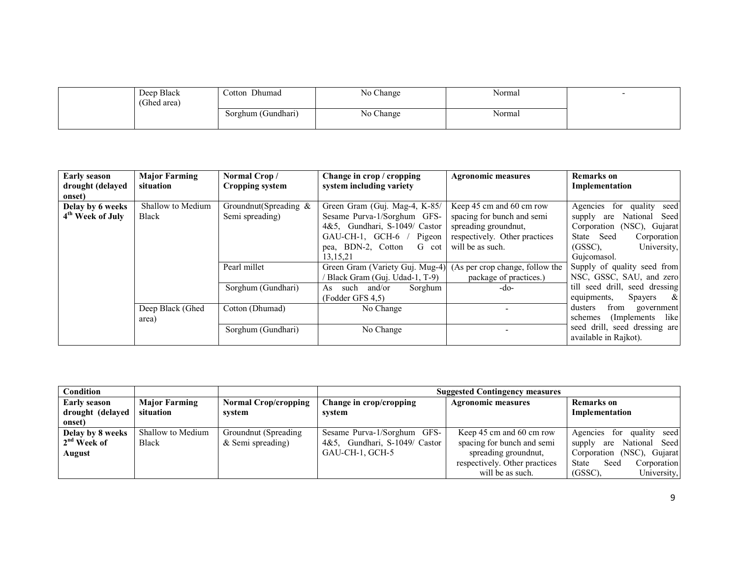| Deep Black<br>(Ghed area) | Cotton Dhumad      | No Change | Normal |  |
|---------------------------|--------------------|-----------|--------|--|
|                           | Sorghum (Gundhari) | No Change | Normal |  |

| <b>Early season</b>          | <b>Major Farming</b> | Normal Crop/             | Change in crop / cropping                                       | <b>Agronomic measures</b>     | <b>Remarks</b> on                  |
|------------------------------|----------------------|--------------------------|-----------------------------------------------------------------|-------------------------------|------------------------------------|
| drought (delayed             | situation            | Cropping system          | system including variety                                        |                               | Implementation                     |
| onset)                       |                      |                          |                                                                 |                               |                                    |
| Delay by 6 weeks             | Shallow to Medium    | Groundnut(Spreading $\&$ | Green Gram (Guj. Mag-4, K-85/                                   | Keep 45 cm and 60 cm row      | for quality<br>Agencies<br>seed    |
| 4 <sup>th</sup> Week of July | <b>Black</b>         | Semi spreading)          | Sesame Purva-1/Sorghum GFS-                                     | spacing for bunch and semi    | National<br>Seed<br>supply<br>are  |
|                              |                      |                          | 4&5, Gundhari, S-1049/ Castor                                   | spreading ground nut,         | Corporation (NSC), Gujarat         |
|                              |                      |                          | $GAU-CH-1$ , $GCH-6$<br>Pigeon                                  | respectively. Other practices | State Seed<br>Corporation          |
|                              |                      |                          | pea, BDN-2, Cotton<br>G cot                                     | will be as such.              | University,<br>$(GSSC)$ .          |
|                              |                      |                          | 13, 15, 21                                                      |                               | Gujcomasol.                        |
|                              |                      | Pearl millet             | Green Gram (Variety Guj. Mug-4) (As per crop change, follow the |                               | Supply of quality seed from        |
|                              |                      |                          | Black Gram (Guj. Udad-1, T-9)                                   | package of practices.)        | NSC, GSSC, SAU, and zero           |
|                              |                      | Sorghum (Gundhari)       | and/or<br>such<br>Sorghum<br>As.                                | -do-                          | till seed drill, seed dressing     |
|                              |                      |                          | (Fodder GFS 4,5)                                                |                               | Spayers<br>$\alpha$<br>equipments, |
|                              | Deep Black (Ghed     | Cotton (Dhumad)          | No Change                                                       |                               | from<br>dusters<br>government      |
|                              | area)                |                          |                                                                 |                               | like<br>(Implements)<br>schemes    |
|                              |                      | Sorghum (Gundhari)       | No Change                                                       |                               | seed drill, seed dressing are      |
|                              |                      |                          |                                                                 |                               | available in Rajkot).              |

| Condition               |                      |                             | <b>Suggested Contingency measures</b> |                               |                                     |
|-------------------------|----------------------|-----------------------------|---------------------------------------|-------------------------------|-------------------------------------|
| Early season            | <b>Major Farming</b> | <b>Normal Crop/cropping</b> | Change in crop/cropping               | <b>Agronomic measures</b>     | <b>Remarks</b> on                   |
| drought (delayed        | situation            | svstem                      | svstem                                |                               | Implementation                      |
| onset)                  |                      |                             |                                       |                               |                                     |
| Delay by 8 weeks        | Shallow to Medium    | Groundnut (Spreading)       | Sesame Purva-1/Sorghum GFS-           | Keep 45 cm and 60 cm row      | seed<br>quality<br>Agencies<br>for  |
| 2 <sup>nd</sup> Week of | <b>Black</b>         | & Semi spreading)           | Gundhari, S-1049/ Castor<br>4&5.      | spacing for bunch and semi    | National Seed<br>are<br>supply      |
| August                  |                      |                             | GAU-CH-1, GCH-5                       | spreading ground nut,         | Gujarat<br>$(NSC)$ ,<br>Corporation |
|                         |                      |                             |                                       | respectively. Other practices | Seed<br>State<br>Corporation        |
|                         |                      |                             |                                       | will be as such.              | University,<br>$(GSSC)$ .           |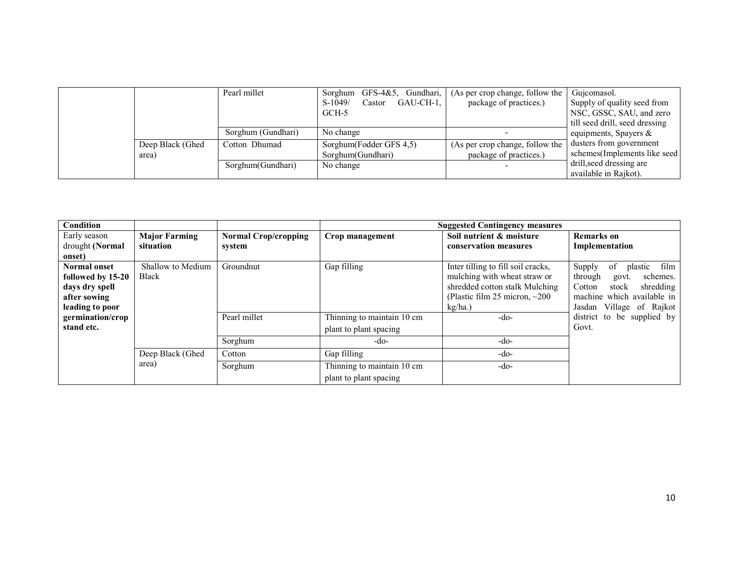|                  | Pearl millet       | Gundhari,<br>Sorghum<br>GFS-4&5. | (As per crop change, follow the | Gujcomasol.                    |
|------------------|--------------------|----------------------------------|---------------------------------|--------------------------------|
|                  |                    | GAU-CH-1.<br>$S-1049/$<br>Castor | package of practices.)          | Supply of quality seed from    |
|                  |                    | GCH-5                            |                                 | NSC, GSSC, SAU, and zero       |
|                  |                    |                                  |                                 | till seed drill, seed dressing |
|                  | Sorghum (Gundhari) | No change                        |                                 | equipments, Spayers $\&$       |
| Deep Black (Ghed | Cotton Dhumad      | Sorghum(Fodder GFS 4,5)          | (As per crop change, follow the | dusters from government        |
| area)            |                    | Sorghum (Gundhari)               | package of practices.)          | schemes (Implements like seed) |
|                  | Sorghum (Gundhari) | No change                        |                                 | drill, seed dressing are       |
|                  |                    |                                  |                                 | available in Rajkot).          |

| Condition                                                                                     |                                   |                                       |                                                              | <b>Suggested Contingency measures</b>                                                                                                                  |                                                                                                                                                           |
|-----------------------------------------------------------------------------------------------|-----------------------------------|---------------------------------------|--------------------------------------------------------------|--------------------------------------------------------------------------------------------------------------------------------------------------------|-----------------------------------------------------------------------------------------------------------------------------------------------------------|
| Early season<br>drought (Normal<br>onset)                                                     | <b>Major Farming</b><br>situation | <b>Normal Crop/cropping</b><br>system | Crop management                                              | Soil nutrient & moisture<br>conservation measures                                                                                                      | <b>Remarks</b> on<br>Implementation                                                                                                                       |
| <b>Normal onset</b><br>followed by 15-20<br>days dry spell<br>after sowing<br>leading to poor | Shallow to Medium<br>Black        | Groundnut                             | Gap filling                                                  | Inter tilling to fill soil cracks,<br>mulching with wheat straw or<br>shredded cotton stalk Mulching<br>(Plastic film 25 micron, $\sim$ 200<br>kg/ha.) | Supply<br>of<br>film<br>plastic<br>through<br>schemes.<br>govt.<br>shredding<br>Cotton<br>stock<br>machine which available in<br>Jasdan Village of Rajkot |
| germination/crop<br>stand etc.                                                                |                                   | Pearl millet<br>Sorghum               | Thinning to maintain 10 cm<br>plant to plant spacing<br>-do- | -do-<br>$-do-$                                                                                                                                         | district to be supplied by<br>Govt.                                                                                                                       |
|                                                                                               | Deep Black (Ghed                  | Cotton                                | Gap filling                                                  | $-do-$                                                                                                                                                 |                                                                                                                                                           |
|                                                                                               | area)                             | Sorghum                               | Thinning to maintain 10 cm<br>plant to plant spacing         | $-do-$                                                                                                                                                 |                                                                                                                                                           |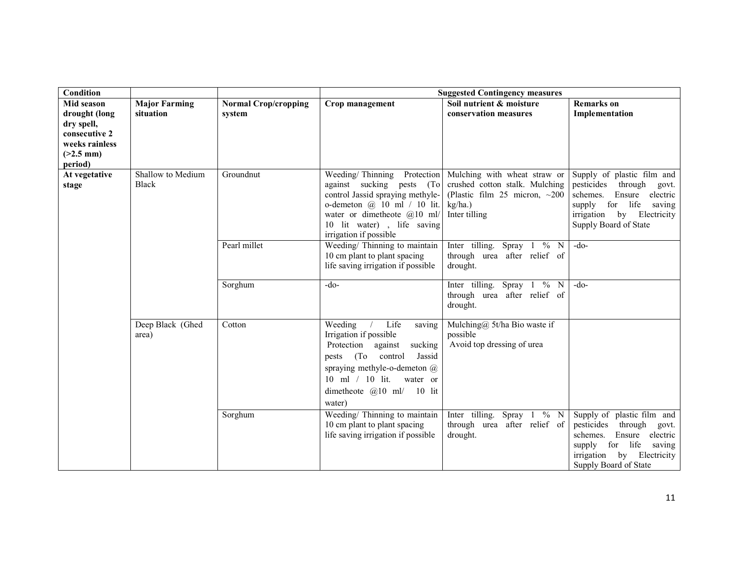| <b>Condition</b>            |                           |                             |                                                                                                                                                                                                                                             | <b>Suggested Contingency measures</b>                                                             |                                                                                                                                                                             |
|-----------------------------|---------------------------|-----------------------------|---------------------------------------------------------------------------------------------------------------------------------------------------------------------------------------------------------------------------------------------|---------------------------------------------------------------------------------------------------|-----------------------------------------------------------------------------------------------------------------------------------------------------------------------------|
| <b>Mid season</b>           | <b>Major Farming</b>      | <b>Normal Crop/cropping</b> | Crop management                                                                                                                                                                                                                             | Soil nutrient & moisture                                                                          | <b>Remarks</b> on                                                                                                                                                           |
| drought (long<br>dry spell, | situation                 | system                      |                                                                                                                                                                                                                                             | conservation measures                                                                             | Implementation                                                                                                                                                              |
| consecutive 2               |                           |                             |                                                                                                                                                                                                                                             |                                                                                                   |                                                                                                                                                                             |
| weeks rainless              |                           |                             |                                                                                                                                                                                                                                             |                                                                                                   |                                                                                                                                                                             |
| $(>2.5$ mm)                 |                           |                             |                                                                                                                                                                                                                                             |                                                                                                   |                                                                                                                                                                             |
| period)<br>At vegetative    | Shallow to Medium         | Groundnut                   | Weeding/Thinning<br>Protection                                                                                                                                                                                                              | Mulching with wheat straw or                                                                      | Supply of plastic film and                                                                                                                                                  |
| stage                       | <b>Black</b>              |                             | against sucking pests (To<br>control Jassid spraying methyle-<br>o-demeton $\omega$ 10 ml / 10 lit.<br>water or dimetheote $@10$ ml/<br>10 lit water), life saving<br>irrigation if possible                                                | crushed cotton stalk. Mulching<br>(Plastic film 25 micron, $\sim$ 200<br>kg/ha.)<br>Inter tilling | pesticides<br>through<br>govt.<br>schemes.<br>Ensure electric<br>life saving<br>supply for<br>irrigation by Electricity<br>Supply Board of State                            |
|                             |                           | Pearl millet                | Weeding/ Thinning to maintain<br>10 cm plant to plant spacing<br>life saving irrigation if possible                                                                                                                                         | Inter tilling. Spray $1\overline{6}$ N<br>through urea after relief of<br>drought.                | $-do-$                                                                                                                                                                      |
|                             |                           | Sorghum                     | $-do-$                                                                                                                                                                                                                                      | Inter tilling. Spray $1 \sqrt[9]{\ }$ N<br>through urea after relief of<br>drought.               | $-do-$                                                                                                                                                                      |
|                             | Deep Black (Ghed<br>area) | Cotton                      | Weeding<br>Life<br>saving<br>Irrigation if possible<br>Protection<br>sucking<br>against<br>(To)<br>control<br>Jassid<br>pests<br>spraying methyle-o-demeton $(a)$<br>10 ml $/$ 10 lit.<br>water or<br>dimetheote $@10$ ml/ 10 lit<br>water) | Mulching@ 5t/ha Bio waste if<br>possible<br>Avoid top dressing of urea                            |                                                                                                                                                                             |
|                             |                           | Sorghum                     | Weeding/ Thinning to maintain<br>10 cm plant to plant spacing<br>life saving irrigation if possible                                                                                                                                         | Inter tilling. Spray 1 % N<br>through urea after relief of<br>drought.                            | Supply of plastic film and<br>through<br>pesticides<br>govt.<br>Ensure electric<br>schemes.<br>supply for life saving<br>irrigation by Electricity<br>Supply Board of State |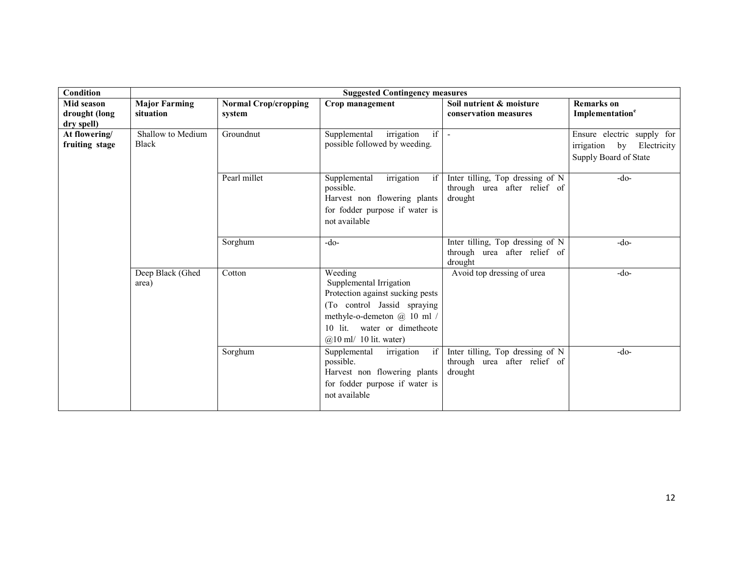| <b>Condition</b>                          |                                   |                                       | <b>Suggested Contingency measures</b>                                                                                                                                                              |                                                                             |                                                                                            |
|-------------------------------------------|-----------------------------------|---------------------------------------|----------------------------------------------------------------------------------------------------------------------------------------------------------------------------------------------------|-----------------------------------------------------------------------------|--------------------------------------------------------------------------------------------|
| Mid season<br>drought (long<br>dry spell) | <b>Major Farming</b><br>situation | <b>Normal Crop/cropping</b><br>system | Crop management                                                                                                                                                                                    | Soil nutrient & moisture<br>conservation measures                           | <b>Remarks</b> on<br>Implementation <sup>e</sup>                                           |
| At flowering/<br>fruiting stage           | Shallow to Medium<br><b>Black</b> | Groundnut                             | if<br>irrigation<br>Supplemental<br>possible followed by weeding.                                                                                                                                  | $\blacksquare$                                                              | Ensure electric supply for<br>Electricity<br>irrigation<br>$-$ by<br>Supply Board of State |
|                                           |                                   | Pearl millet                          | Supplemental<br>irrigation<br>if<br>possible.<br>Harvest non flowering plants<br>for fodder purpose if water is<br>not available                                                                   | Inter tilling, Top dressing of N<br>through urea after relief of<br>drought | $-do-$                                                                                     |
|                                           |                                   | Sorghum                               | $-do-$                                                                                                                                                                                             | Inter tilling, Top dressing of N<br>through urea after relief of<br>drought | $-do-$                                                                                     |
|                                           | Deep Black (Ghed<br>area)         | Cotton                                | Weeding<br>Supplemental Irrigation<br>Protection against sucking pests<br>(To control Jassid spraying<br>methyle-o-demeton @ 10 ml /<br>10 lit. water or dimetheote<br>$(a)$ 10 ml/ 10 lit. water) | Avoid top dressing of urea                                                  | $-do-$                                                                                     |
|                                           |                                   | Sorghum                               | Supplemental<br>irrigation<br>if<br>possible.<br>Harvest non flowering plants<br>for fodder purpose if water is<br>not available                                                                   | Inter tilling, Top dressing of N<br>through urea after relief of<br>drought | $-do-$                                                                                     |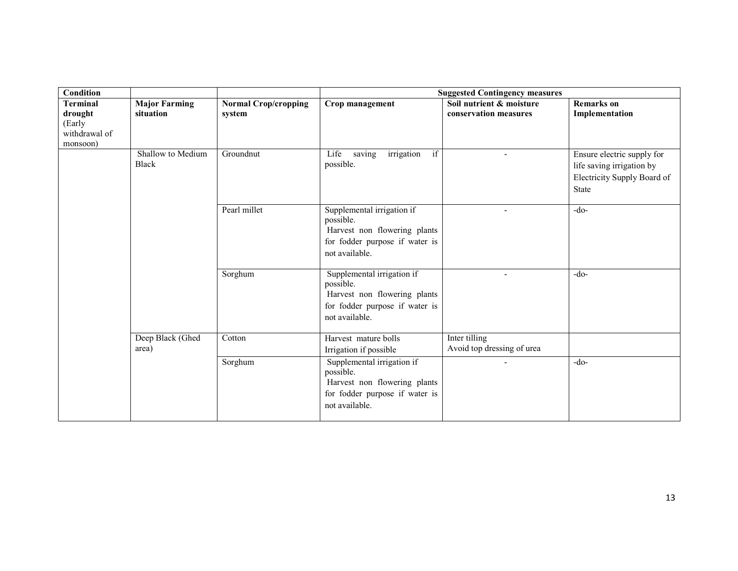| <b>Condition</b>          |                      |                             | <b>Suggested Contingency measures</b>     |                            |                             |
|---------------------------|----------------------|-----------------------------|-------------------------------------------|----------------------------|-----------------------------|
| <b>Terminal</b>           | <b>Major Farming</b> | <b>Normal Crop/cropping</b> | Crop management                           | Soil nutrient & moisture   | <b>Remarks</b> on           |
| drought                   | situation            | system                      |                                           | conservation measures      | Implementation              |
| (Early                    |                      |                             |                                           |                            |                             |
| withdrawal of<br>monsoon) |                      |                             |                                           |                            |                             |
|                           | Shallow to Medium    | Groundnut                   | irrigation<br>if<br>Life<br>saving        |                            | Ensure electric supply for  |
|                           | <b>Black</b>         |                             | possible.                                 |                            | life saving irrigation by   |
|                           |                      |                             |                                           |                            | Electricity Supply Board of |
|                           |                      |                             |                                           |                            | State                       |
|                           |                      |                             |                                           |                            |                             |
|                           |                      | Pearl millet                | Supplemental irrigation if                |                            | $-do-$                      |
|                           |                      |                             | possible.                                 |                            |                             |
|                           |                      |                             | Harvest non flowering plants              |                            |                             |
|                           |                      |                             | for fodder purpose if water is            |                            |                             |
|                           |                      |                             | not available.                            |                            |                             |
|                           |                      |                             |                                           |                            |                             |
|                           |                      | Sorghum                     | Supplemental irrigation if                |                            | $-do-$                      |
|                           |                      |                             | possible.<br>Harvest non flowering plants |                            |                             |
|                           |                      |                             | for fodder purpose if water is            |                            |                             |
|                           |                      |                             |                                           |                            |                             |
|                           |                      |                             | not available.                            |                            |                             |
|                           | Deep Black (Ghed     | Cotton                      | Harvest mature bolls                      | Inter tilling              |                             |
|                           | area)                |                             | Irrigation if possible                    | Avoid top dressing of urea |                             |
|                           |                      | Sorghum                     | Supplemental irrigation if                |                            | $-do-$                      |
|                           |                      |                             | possible.                                 |                            |                             |
|                           |                      |                             | Harvest non flowering plants              |                            |                             |
|                           |                      |                             | for fodder purpose if water is            |                            |                             |
|                           |                      |                             | not available.                            |                            |                             |
|                           |                      |                             |                                           |                            |                             |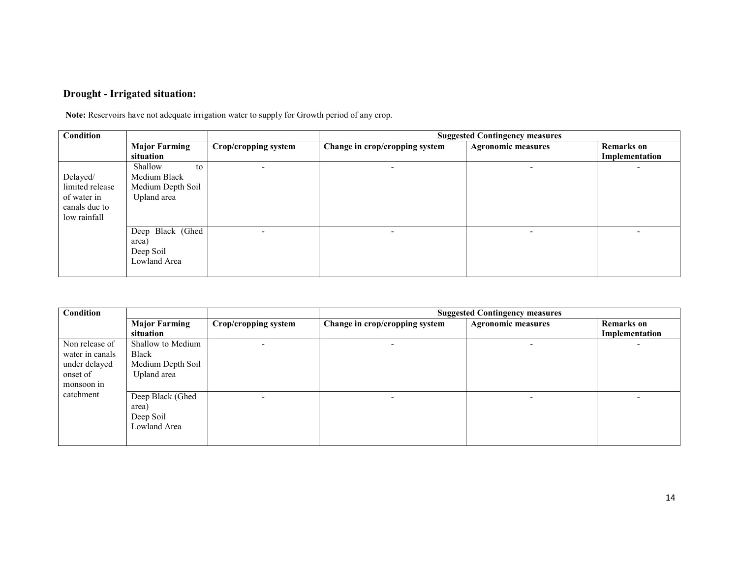#### Drought - Irrigated situation:

Note: Reservoirs have not adequate irrigation water to supply for Growth period of any crop.

| Condition       |                      |                      | <b>Suggested Contingency measures</b> |                           |                   |  |
|-----------------|----------------------|----------------------|---------------------------------------|---------------------------|-------------------|--|
|                 | <b>Major Farming</b> | Crop/cropping system | Change in crop/cropping system        | <b>Agronomic measures</b> | <b>Remarks</b> on |  |
|                 | situation            |                      |                                       |                           | Implementation    |  |
|                 | Shallow<br>to        |                      |                                       |                           |                   |  |
| Delayed/        | Medium Black         |                      |                                       |                           |                   |  |
| limited release | Medium Depth Soil    |                      |                                       |                           |                   |  |
| of water in     | Upland area          |                      |                                       |                           |                   |  |
| canals due to   |                      |                      |                                       |                           |                   |  |
| low rainfall    |                      |                      |                                       |                           |                   |  |
|                 | Deep Black (Ghed     |                      | $\overline{\phantom{a}}$              | -                         |                   |  |
|                 | area)                |                      |                                       |                           |                   |  |
|                 | Deep Soil            |                      |                                       |                           |                   |  |
|                 | Lowland Area         |                      |                                       |                           |                   |  |
|                 |                      |                      |                                       |                           |                   |  |

| Condition       |                      |                      | <b>Suggested Contingency measures</b> |                           |                   |  |
|-----------------|----------------------|----------------------|---------------------------------------|---------------------------|-------------------|--|
|                 | <b>Major Farming</b> | Crop/cropping system | Change in crop/cropping system        | <b>Agronomic measures</b> | <b>Remarks</b> on |  |
|                 | situation            |                      |                                       |                           | Implementation    |  |
| Non release of  | Shallow to Medium    |                      |                                       |                           |                   |  |
| water in canals | <b>Black</b>         |                      |                                       |                           |                   |  |
| under delayed   | Medium Depth Soil    |                      |                                       |                           |                   |  |
| onset of        | Upland area          |                      |                                       |                           |                   |  |
| monsoon in      |                      |                      |                                       |                           |                   |  |
| catchment       | Deep Black (Ghed     |                      | -                                     |                           |                   |  |
|                 | area)                |                      |                                       |                           |                   |  |
|                 | Deep Soil            |                      |                                       |                           |                   |  |
|                 | Lowland Area         |                      |                                       |                           |                   |  |
|                 |                      |                      |                                       |                           |                   |  |
|                 |                      |                      |                                       |                           |                   |  |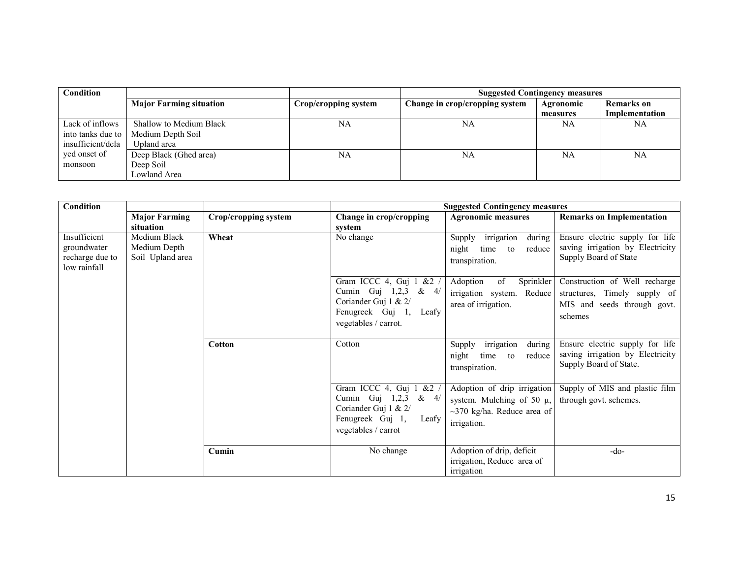| <b>Condition</b>  |                                |                      | <b>Suggested Contingency measures</b> |                  |                   |
|-------------------|--------------------------------|----------------------|---------------------------------------|------------------|-------------------|
|                   | <b>Major Farming situation</b> | Crop/cropping system | Change in crop/cropping system        | <b>Agronomic</b> | <b>Remarks</b> on |
|                   |                                |                      |                                       | measures         | Implementation    |
| Lack of inflows   | Shallow to Medium Black        | NA                   | NA                                    | NA               | NA                |
| into tanks due to | Medium Depth Soil              |                      |                                       |                  |                   |
| insufficient/dela | Upland area                    |                      |                                       |                  |                   |
| yed onset of      | Deep Black (Ghed area)         | NA                   | NA                                    | <b>NA</b>        | NA                |
| monsoon           | Deep Soil                      |                      |                                       |                  |                   |
|                   | Lowland Area                   |                      |                                       |                  |                   |

| <b>Condition</b>                                               |                                                  |                      | <b>Suggested Contingency measures</b>                                                                                                   |                                                                                                                  |                                                                                                         |  |
|----------------------------------------------------------------|--------------------------------------------------|----------------------|-----------------------------------------------------------------------------------------------------------------------------------------|------------------------------------------------------------------------------------------------------------------|---------------------------------------------------------------------------------------------------------|--|
|                                                                | <b>Major Farming</b><br>situation                | Crop/cropping system | Change in crop/cropping<br>system                                                                                                       | <b>Agronomic measures</b>                                                                                        | <b>Remarks on Implementation</b>                                                                        |  |
| Insufficient<br>groundwater<br>recharge due to<br>low rainfall | Medium Black<br>Medium Depth<br>Soil Upland area | Wheat                | No change                                                                                                                               | irrigation<br>during<br>Supply<br>night<br>reduce<br>time<br>to<br>transpiration.                                | Ensure electric supply for life<br>saving irrigation by Electricity<br>Supply Board of State            |  |
|                                                                |                                                  |                      | Gram ICCC 4, Guj 1 $&2$<br>Cumin Guj $1,2,3$<br>$\&$<br>4/<br>Coriander Guj 1 & 2/<br>Fenugreek Guj 1,<br>Leafy<br>vegetables / carrot. | Adoption<br>Sprinkler<br>of<br>irrigation system. Reduce<br>area of irrigation.                                  | Construction of Well recharge<br>structures, Timely supply of<br>MIS and seeds through govt.<br>schemes |  |
|                                                                |                                                  | <b>Cotton</b>        | Cotton                                                                                                                                  | irrigation<br>during<br>Supply<br>night<br>reduce<br>time<br>to<br>transpiration.                                | Ensure electric supply for life<br>saving irrigation by Electricity<br>Supply Board of State.           |  |
|                                                                |                                                  |                      | Gram ICCC 4, Guj 1 &2 /<br>Cumin Guj $1,2,3$<br>$\&$ 4/<br>Coriander Guj 1 & 2/<br>Fenugreek Guj 1,<br>Leafy<br>vegetables / carrot     | Adoption of drip irrigation<br>system. Mulching of 50 $\mu$ ,<br>$\sim$ 370 kg/ha. Reduce area of<br>irrigation. | Supply of MIS and plastic film<br>through govt. schemes.                                                |  |
|                                                                |                                                  | Cumin                | No change                                                                                                                               | Adoption of drip, deficit<br>irrigation, Reduce area of<br>irrigation                                            | -do-                                                                                                    |  |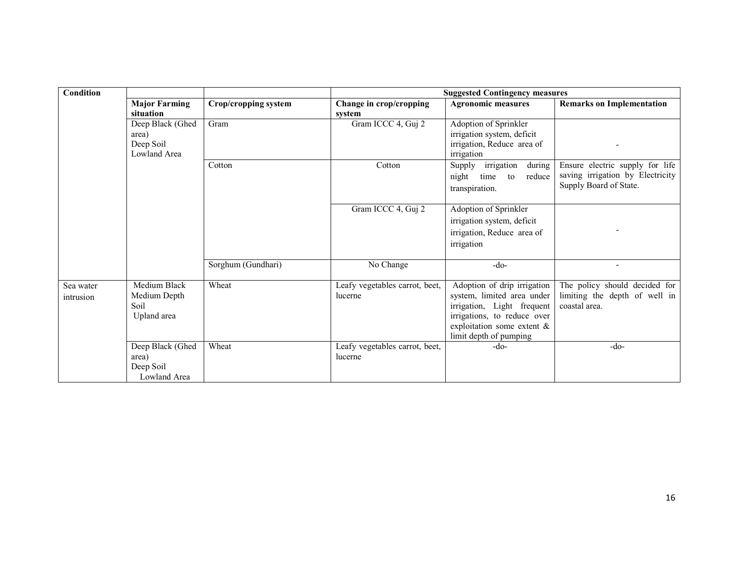| Condition              |                                                        |                      | <b>Suggested Contingency measures</b>     |                                                                                                                                                                                   |                                                                                               |  |
|------------------------|--------------------------------------------------------|----------------------|-------------------------------------------|-----------------------------------------------------------------------------------------------------------------------------------------------------------------------------------|-----------------------------------------------------------------------------------------------|--|
|                        | <b>Major Farming</b><br>situation                      | Crop/cropping system | Change in crop/cropping<br>system         | <b>Agronomic measures</b>                                                                                                                                                         | <b>Remarks on Implementation</b>                                                              |  |
|                        | Deep Black (Ghed<br>area)<br>Deep Soil<br>Lowland Area | Gram                 | Gram ICCC 4, Guj 2                        | Adoption of Sprinkler<br>irrigation system, deficit<br>irrigation, Reduce area of<br>irrigation                                                                                   |                                                                                               |  |
|                        |                                                        | Cotton               | Cotton                                    | irrigation<br>during<br>Supply<br>night<br>reduce<br>time<br>to<br>transpiration.                                                                                                 | Ensure electric supply for life<br>saving irrigation by Electricity<br>Supply Board of State. |  |
|                        |                                                        |                      | Gram ICCC 4, Guj 2                        | Adoption of Sprinkler<br>irrigation system, deficit<br>irrigation, Reduce area of<br>irrigation                                                                                   |                                                                                               |  |
|                        |                                                        | Sorghum (Gundhari)   | No Change                                 | $-do-$                                                                                                                                                                            |                                                                                               |  |
| Sea water<br>intrusion | Medium Black<br>Medium Depth<br>Soil<br>Upland area    | Wheat                | Leafy vegetables carrot, beet,<br>lucerne | Adoption of drip irrigation<br>system, limited area under<br>irrigation, Light frequent<br>irrigations, to reduce over<br>exploitation some extent $\&$<br>limit depth of pumping | The policy should decided for<br>limiting the depth of well in<br>coastal area.               |  |
|                        | Deep Black (Ghed<br>area)<br>Deep Soil<br>Lowland Area | Wheat                | Leafy vegetables carrot, beet,<br>lucerne | -do-                                                                                                                                                                              | $-do-$                                                                                        |  |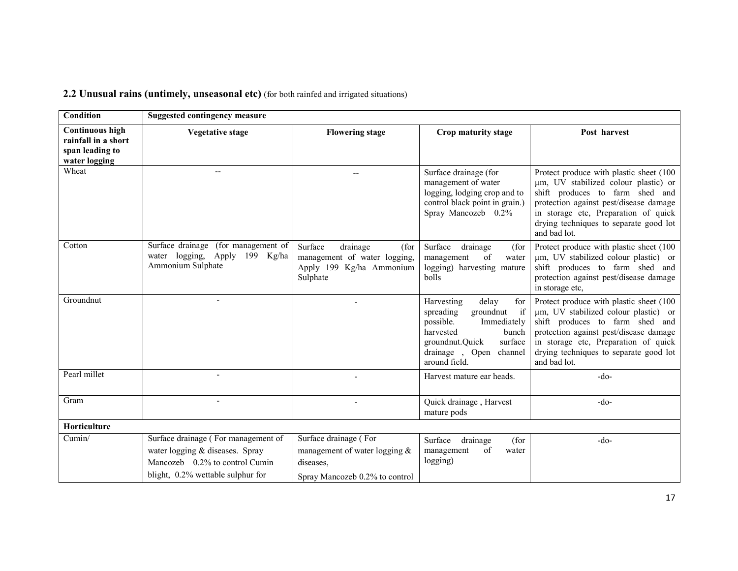| Condition                                                                         | <b>Suggested contingency measure</b>                                                                                                          |                                                                                                       |                                                                                                                                                                                          |                                                                                                                                                                                                                                                                |
|-----------------------------------------------------------------------------------|-----------------------------------------------------------------------------------------------------------------------------------------------|-------------------------------------------------------------------------------------------------------|------------------------------------------------------------------------------------------------------------------------------------------------------------------------------------------|----------------------------------------------------------------------------------------------------------------------------------------------------------------------------------------------------------------------------------------------------------------|
| <b>Continuous high</b><br>rainfall in a short<br>span leading to<br>water logging | <b>Vegetative stage</b>                                                                                                                       | <b>Flowering stage</b>                                                                                | Crop maturity stage                                                                                                                                                                      | Post harvest                                                                                                                                                                                                                                                   |
| Wheat                                                                             |                                                                                                                                               |                                                                                                       | Surface drainage (for<br>management of water<br>logging, lodging crop and to<br>control black point in grain.)<br>Spray Mancozeb 0.2%                                                    | Protect produce with plastic sheet (100<br>um, UV stabilized colour plastic) or<br>shift produces to farm shed and<br>protection against pest/disease damage<br>in storage etc, Preparation of quick<br>drying techniques to separate good lot<br>and bad lot. |
| Cotton                                                                            | Surface drainage (for management of<br>water logging, Apply 199 Kg/ha<br>Ammonium Sulphate                                                    | Surface<br>drainage<br>(for<br>management of water logging,<br>Apply 199 Kg/ha Ammonium<br>Sulphate   | Surface<br>drainage<br>(for<br>of<br>management<br>water<br>logging) harvesting mature<br>bolls                                                                                          | Protect produce with plastic sheet (100)<br>um, UV stabilized colour plastic) or<br>shift produces to farm shed and<br>protection against pest/disease damage<br>in storage etc,                                                                               |
| Groundnut                                                                         |                                                                                                                                               |                                                                                                       | Harvesting<br>delay<br>for<br>if<br>spreading<br>groundnut<br>possible.<br>Immediately<br>harvested<br>bunch<br>surface<br>groundnut.Quick<br>drainage, Open<br>channel<br>around field. | Protect produce with plastic sheet (100<br>um, UV stabilized colour plastic) or<br>shift produces to farm shed and<br>protection against pest/disease damage<br>in storage etc, Preparation of quick<br>drying techniques to separate good lot<br>and bad lot. |
| Pearl millet                                                                      | $\overline{\phantom{a}}$                                                                                                                      |                                                                                                       | Harvest mature ear heads.                                                                                                                                                                | $-do-$                                                                                                                                                                                                                                                         |
| Gram                                                                              |                                                                                                                                               |                                                                                                       | Quick drainage, Harvest<br>mature pods                                                                                                                                                   | $-do-$                                                                                                                                                                                                                                                         |
| Horticulture                                                                      |                                                                                                                                               |                                                                                                       |                                                                                                                                                                                          |                                                                                                                                                                                                                                                                |
| Cumin/                                                                            | Surface drainage (For management of<br>water logging & diseases. Spray<br>Mancozeb 0.2% to control Cumin<br>blight, 0.2% wettable sulphur for | Surface drainage (For<br>management of water logging &<br>diseases,<br>Spray Mancozeb 0.2% to control | Surface<br>drainage<br>(for<br>of<br>management<br>water<br>logging)                                                                                                                     | $-do-$                                                                                                                                                                                                                                                         |

### 2.2 Unusual rains (untimely, unseasonal etc) (for both rainfed and irrigated situations)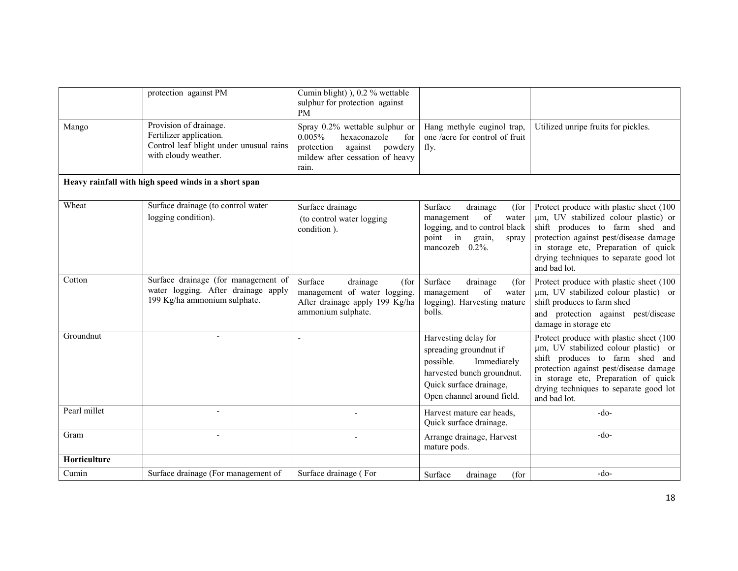|              | protection against PM                                                                                                | Cumin blight) ), 0.2 % wettable<br>sulphur for protection against<br><b>PM</b>                                                               |                                                                                                                                                                   |                                                                                                                                                                                                                                                                |
|--------------|----------------------------------------------------------------------------------------------------------------------|----------------------------------------------------------------------------------------------------------------------------------------------|-------------------------------------------------------------------------------------------------------------------------------------------------------------------|----------------------------------------------------------------------------------------------------------------------------------------------------------------------------------------------------------------------------------------------------------------|
| Mango        | Provision of drainage.<br>Fertilizer application.<br>Control leaf blight under unusual rains<br>with cloudy weather. | Spray 0.2% wettable sulphur or<br>0.005%<br>hexaconazole<br>for<br>protection<br>against powdery<br>mildew after cessation of heavy<br>rain. | Hang methyle euginol trap,<br>one /acre for control of fruit<br>fly.                                                                                              | Utilized unripe fruits for pickles.                                                                                                                                                                                                                            |
|              | Heavy rainfall with high speed winds in a short span                                                                 |                                                                                                                                              |                                                                                                                                                                   |                                                                                                                                                                                                                                                                |
| Wheat        | Surface drainage (to control water<br>logging condition).                                                            | Surface drainage<br>(to control water logging<br>condition).                                                                                 | Surface<br>drainage<br>(for<br>of<br>management<br>water<br>logging, and to control black<br>point in<br>grain,<br>spray<br>mancozeb<br>$0.2\%$ .                 | Protect produce with plastic sheet (100<br>um, UV stabilized colour plastic) or<br>shift produces to farm shed and<br>protection against pest/disease damage<br>in storage etc, Preparation of quick<br>drying techniques to separate good lot<br>and bad lot. |
| Cotton       | Surface drainage (for management of<br>water logging. After drainage apply<br>199 Kg/ha ammonium sulphate.           | Surface<br>drainage<br>(for<br>management of water logging.<br>After drainage apply 199 Kg/ha<br>ammonium sulphate.                          | Surface<br>drainage<br>(for<br>of<br>management<br>water<br>logging). Harvesting mature<br>bolls.                                                                 | Protect produce with plastic sheet (100<br>um, UV stabilized colour plastic) or<br>shift produces to farm shed<br>and protection against pest/disease<br>damage in storage etc                                                                                 |
| Groundnut    |                                                                                                                      |                                                                                                                                              | Harvesting delay for<br>spreading groundnut if<br>possible.<br>Immediately<br>harvested bunch groundnut.<br>Quick surface drainage,<br>Open channel around field. | Protect produce with plastic sheet (100<br>um, UV stabilized colour plastic) or<br>shift produces to farm shed and<br>protection against pest/disease damage<br>in storage etc, Preparation of quick<br>drying techniques to separate good lot<br>and bad lot. |
| Pearl millet |                                                                                                                      |                                                                                                                                              | Harvest mature ear heads,<br>Quick surface drainage.                                                                                                              | $-do-$                                                                                                                                                                                                                                                         |
| Gram         | $\blacksquare$                                                                                                       |                                                                                                                                              | Arrange drainage, Harvest<br>mature pods.                                                                                                                         | $-do-$                                                                                                                                                                                                                                                         |
| Horticulture |                                                                                                                      |                                                                                                                                              |                                                                                                                                                                   |                                                                                                                                                                                                                                                                |
| Cumin        | Surface drainage (For management of                                                                                  | Surface drainage (For                                                                                                                        | Surface<br>drainage<br>(for                                                                                                                                       | $-do-$                                                                                                                                                                                                                                                         |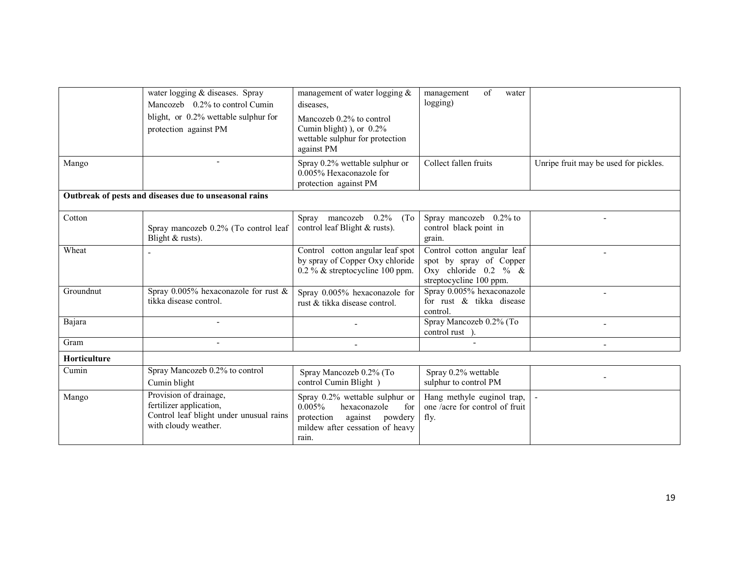|                     | water logging & diseases. Spray<br>Mancozeb 0.2% to control Cumin<br>blight, or 0.2% wettable sulphur for<br>protection against PM | management of water logging $\&$<br>diseases.<br>Mancozeb 0.2% to control<br>Cumin blight) ), or $0.2\%$<br>wettable sulphur for protection<br>against PM | of<br>management<br>water<br>logging)                                                                        |                                       |
|---------------------|------------------------------------------------------------------------------------------------------------------------------------|-----------------------------------------------------------------------------------------------------------------------------------------------------------|--------------------------------------------------------------------------------------------------------------|---------------------------------------|
| Mango               |                                                                                                                                    | Spray 0.2% wettable sulphur or<br>0.005% Hexaconazole for<br>protection against PM                                                                        | Collect fallen fruits                                                                                        | Unripe fruit may be used for pickles. |
|                     | Outbreak of pests and diseases due to unseasonal rains                                                                             |                                                                                                                                                           |                                                                                                              |                                       |
| Cotton              | Spray mancozeb 0.2% (To control leaf<br>Blight $&$ rusts).                                                                         | Spray mancozeb $0.2\%$<br>(T <sub>0</sub> )<br>control leaf Blight & rusts).                                                                              | Spray mancozeb 0.2% to<br>control black point in<br>grain.                                                   |                                       |
| Wheat               |                                                                                                                                    | Control cotton angular leaf spot<br>by spray of Copper Oxy chloride<br>$0.2\%$ & streptocycline 100 ppm.                                                  | Control cotton angular leaf<br>spot by spray of Copper<br>Oxy chloride $0.2 \%$ &<br>streptocycline 100 ppm. |                                       |
| Groundnut           | Spray 0.005% hexaconazole for rust $\&$<br>tikka disease control.                                                                  | Spray 0.005% hexaconazole for<br>rust & tikka disease control.                                                                                            | Spray 0.005% hexaconazole<br>for rust & tikka disease<br>control.                                            |                                       |
| Bajara              |                                                                                                                                    |                                                                                                                                                           | Spray Mancozeb 0.2% (To<br>control rust ).                                                                   |                                       |
| Gram                |                                                                                                                                    |                                                                                                                                                           |                                                                                                              |                                       |
| <b>Horticulture</b> |                                                                                                                                    |                                                                                                                                                           |                                                                                                              |                                       |
| Cumin               | Spray Mancozeb 0.2% to control<br>Cumin blight                                                                                     | Spray Mancozeb 0.2% (To<br>control Cumin Blight)                                                                                                          | Spray 0.2% wettable<br>sulphur to control PM                                                                 |                                       |
| Mango               | Provision of drainage,<br>fertilizer application,<br>Control leaf blight under unusual rains<br>with cloudy weather.               | Spray 0.2% wettable sulphur or<br>0.005%<br>hexaconazole<br>for<br>against powdery<br>protection<br>mildew after cessation of heavy<br>rain.              | Hang methyle euginol trap,<br>one /acre for control of fruit<br>fly.                                         |                                       |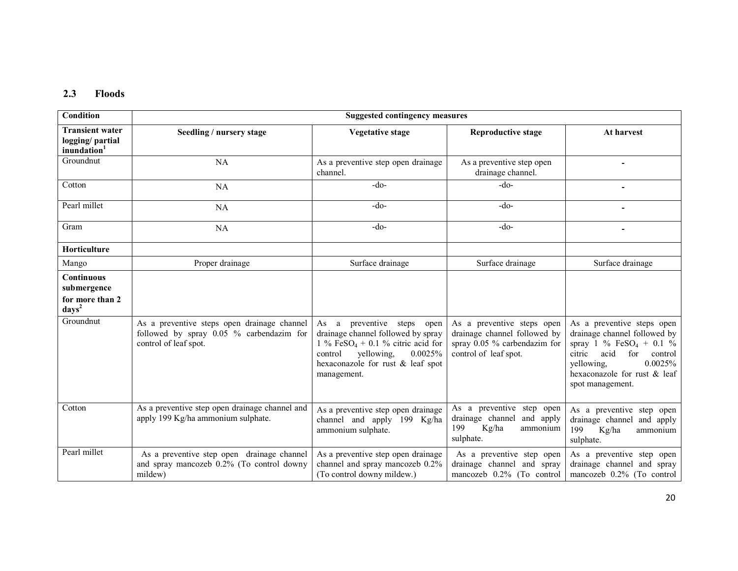#### 2.3 Floods

| Condition                                                                              | <b>Suggested contingency measures</b>                                                                            |                                                                                                                                                                                                              |                                                                                                                       |                                                                                                                                                                                                                    |
|----------------------------------------------------------------------------------------|------------------------------------------------------------------------------------------------------------------|--------------------------------------------------------------------------------------------------------------------------------------------------------------------------------------------------------------|-----------------------------------------------------------------------------------------------------------------------|--------------------------------------------------------------------------------------------------------------------------------------------------------------------------------------------------------------------|
| <b>Transient water</b><br>logging/partial<br>inundation <sup>1</sup>                   | Seedling / nursery stage                                                                                         | <b>Vegetative stage</b>                                                                                                                                                                                      | <b>Reproductive stage</b>                                                                                             | At harvest                                                                                                                                                                                                         |
| Groundnut                                                                              | <b>NA</b>                                                                                                        | As a preventive step open drainage<br>channel.                                                                                                                                                               | As a preventive step open<br>drainage channel.                                                                        |                                                                                                                                                                                                                    |
| Cotton                                                                                 | <b>NA</b>                                                                                                        | $-do-$                                                                                                                                                                                                       | $-do-$                                                                                                                |                                                                                                                                                                                                                    |
| Pearl millet                                                                           | NA                                                                                                               | $-do-$                                                                                                                                                                                                       | $-do-$                                                                                                                |                                                                                                                                                                                                                    |
| Gram                                                                                   | <b>NA</b>                                                                                                        | $-do-$                                                                                                                                                                                                       | $-do-$                                                                                                                |                                                                                                                                                                                                                    |
| Horticulture                                                                           |                                                                                                                  |                                                                                                                                                                                                              |                                                                                                                       |                                                                                                                                                                                                                    |
| Mango                                                                                  | Proper drainage                                                                                                  | Surface drainage                                                                                                                                                                                             | Surface drainage                                                                                                      | Surface drainage                                                                                                                                                                                                   |
| <b>Continuous</b><br>submergence<br>for more than 2<br>$\langle \text{days}^2 \rangle$ |                                                                                                                  |                                                                                                                                                                                                              |                                                                                                                       |                                                                                                                                                                                                                    |
| Groundnut                                                                              | As a preventive steps open drainage channel<br>followed by spray 0.05 % carbendazim for<br>control of leaf spot. | As a preventive steps<br>open<br>drainage channel followed by spray<br>1 % FeSO <sub>4</sub> + 0.1 % citric acid for<br>yellowing.<br>0.0025%<br>control<br>hexaconazole for rust & leaf spot<br>management. | As a preventive steps open<br>drainage channel followed by<br>spray $0.05$ % carbendazim for<br>control of leaf spot. | As a preventive steps open<br>drainage channel followed by<br>spray 1 % FeSO <sub>4</sub> + 0.1 %<br>acid<br>for<br>citric<br>control<br>0.0025%<br>yellowing,<br>hexaconazole for rust & leaf<br>spot management. |
| Cotton                                                                                 | As a preventive step open drainage channel and<br>apply 199 Kg/ha ammonium sulphate.                             | As a preventive step open drainage<br>channel and apply 199 Kg/ha<br>ammonium sulphate.                                                                                                                      | As a preventive step open<br>drainage channel and apply<br>199<br>Kg/ha<br>ammonium<br>sulphate.                      | As a preventive step open<br>drainage channel and apply<br>199<br>Kg/ha<br>ammonium<br>sulphate.                                                                                                                   |
| Pearl millet                                                                           | As a preventive step open drainage channel<br>and spray mancozeb 0.2% (To control downy<br>mildew)               | As a preventive step open drainage<br>channel and spray mancozeb 0.2%<br>(To control downy mildew.)                                                                                                          | As a preventive step open<br>drainage channel and spray<br>mancozeb 0.2% (To control                                  | As a preventive step open<br>drainage channel and spray<br>mancozeb 0.2% (To control                                                                                                                               |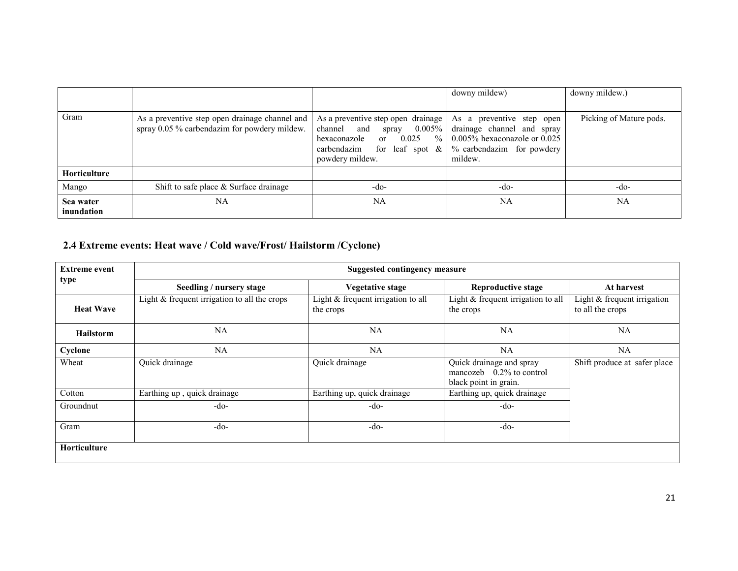|                         |                                                                                                |                                                                                                                                                                                 | downy mildew)                                                                                                                        | downy mildew.)          |
|-------------------------|------------------------------------------------------------------------------------------------|---------------------------------------------------------------------------------------------------------------------------------------------------------------------------------|--------------------------------------------------------------------------------------------------------------------------------------|-------------------------|
| Gram                    | As a preventive step open drainage channel and<br>spray 0.05 % carbendazim for powdery mildew. | As a preventive step open drainage<br>and<br>$0.005\%$<br>channel<br>spray<br>$\%$<br>0.025<br>$\alpha$<br>hexaconazole<br>carbendazim<br>for leaf spot $\&$<br>powdery mildew. | As a preventive step open<br>drainage channel and spray<br>$0.005\%$ hexaconazole or $0.025$<br>% carbendazim for powdery<br>mildew. | Picking of Mature pods. |
| <b>Horticulture</b>     |                                                                                                |                                                                                                                                                                                 |                                                                                                                                      |                         |
| Mango                   | Shift to safe place $\&$ Surface drainage                                                      | -do-                                                                                                                                                                            | $-do-$                                                                                                                               | $-do-$                  |
| Sea water<br>inundation | NA                                                                                             | NA                                                                                                                                                                              | NA                                                                                                                                   | <b>NA</b>               |

#### 2.4 Extreme events: Heat wave / Cold wave/Frost/ Hailstorm /Cyclone)

| <b>Extreme event</b> | <b>Suggested contingency measure</b>           |                                                   |                                                                                  |                                                   |
|----------------------|------------------------------------------------|---------------------------------------------------|----------------------------------------------------------------------------------|---------------------------------------------------|
| type                 | Seedling / nursery stage                       | Vegetative stage                                  | Reproductive stage                                                               | At harvest                                        |
| <b>Heat Wave</b>     | Light $&$ frequent irrigation to all the crops | Light $&$ frequent irrigation to all<br>the crops | Light & frequent irrigation to all<br>the crops                                  | Light $&$ frequent irrigation<br>to all the crops |
| <b>Hailstorm</b>     | NA                                             | NA                                                | NA                                                                               | NA                                                |
| Cyclone              | NA                                             | <b>NA</b>                                         | NA                                                                               | NA                                                |
| Wheat                | Quick drainage                                 | Quick drainage                                    | Quick drainage and spray<br>mancozeb $0.2\%$ to control<br>black point in grain. | Shift produce at safer place                      |
| Cotton               | Earthing up, quick drainage                    | Earthing up, quick drainage                       | Earthing up, quick drainage                                                      |                                                   |
| Groundnut            | -do-                                           | -do-                                              | -do-                                                                             |                                                   |
| Gram                 | $-do-$                                         | -do-                                              | -do-                                                                             |                                                   |
| <b>Horticulture</b>  |                                                |                                                   |                                                                                  |                                                   |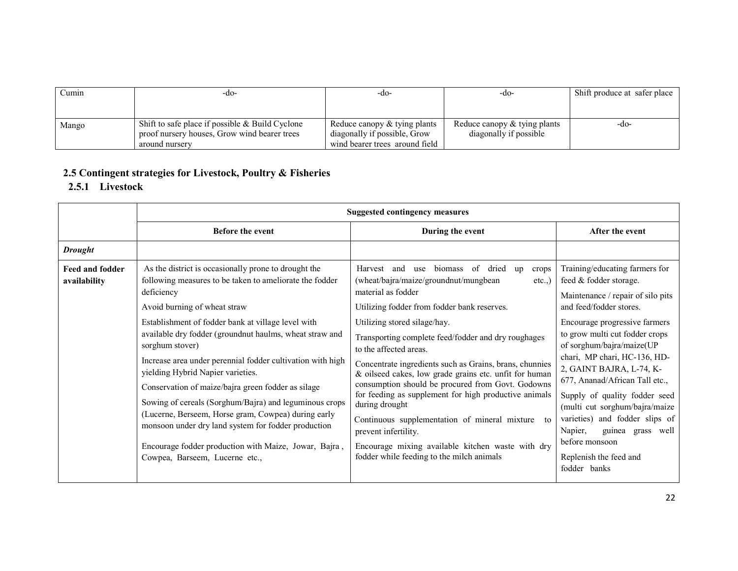| Cumin | -do-                                              | -do-                            | -do-                           | Shift produce at safer place |
|-------|---------------------------------------------------|---------------------------------|--------------------------------|------------------------------|
|       |                                                   |                                 |                                |                              |
|       |                                                   |                                 |                                |                              |
| Mango | Shift to safe place if possible $&$ Build Cyclone | Reduce can opy $&$ tying plants | Reduce canopy $&$ tying plants | -do-                         |
|       | proof nursery houses, Grow wind bearer trees      | diagonally if possible, Grow    | diagonally if possible         |                              |
|       | around nurserv                                    | wind bearer trees around field  |                                |                              |

### 2.5 Contingent strategies for Livestock, Poultry & Fisheries

## 2.5.1 Livestock

|                                        | <b>Suggested contingency measures</b>                                                                                                                                                                                                                                                                                                                                                                                                                                                                                                                                                                                                                                                                                         |                                                                                                                                                                                                                                                                                                                                                                                                                                                                                                                                                                                                                                                                                                                                     |                                                                                                                                                                                                                                                                                                                                                                                                                                                                                                                         |  |  |
|----------------------------------------|-------------------------------------------------------------------------------------------------------------------------------------------------------------------------------------------------------------------------------------------------------------------------------------------------------------------------------------------------------------------------------------------------------------------------------------------------------------------------------------------------------------------------------------------------------------------------------------------------------------------------------------------------------------------------------------------------------------------------------|-------------------------------------------------------------------------------------------------------------------------------------------------------------------------------------------------------------------------------------------------------------------------------------------------------------------------------------------------------------------------------------------------------------------------------------------------------------------------------------------------------------------------------------------------------------------------------------------------------------------------------------------------------------------------------------------------------------------------------------|-------------------------------------------------------------------------------------------------------------------------------------------------------------------------------------------------------------------------------------------------------------------------------------------------------------------------------------------------------------------------------------------------------------------------------------------------------------------------------------------------------------------------|--|--|
|                                        | <b>Before the event</b>                                                                                                                                                                                                                                                                                                                                                                                                                                                                                                                                                                                                                                                                                                       | During the event                                                                                                                                                                                                                                                                                                                                                                                                                                                                                                                                                                                                                                                                                                                    | After the event                                                                                                                                                                                                                                                                                                                                                                                                                                                                                                         |  |  |
| <b>Drought</b>                         |                                                                                                                                                                                                                                                                                                                                                                                                                                                                                                                                                                                                                                                                                                                               |                                                                                                                                                                                                                                                                                                                                                                                                                                                                                                                                                                                                                                                                                                                                     |                                                                                                                                                                                                                                                                                                                                                                                                                                                                                                                         |  |  |
| <b>Feed and fodder</b><br>availability | As the district is occasionally prone to drought the<br>following measures to be taken to ameliorate the fodder<br>deficiency<br>Avoid burning of wheat straw<br>Establishment of fodder bank at village level with<br>available dry fodder (groundnut haulms, wheat straw and<br>sorghum stover)<br>Increase area under perennial fodder cultivation with high<br>yielding Hybrid Napier varieties.<br>Conservation of maize/bajra green fodder as silage<br>Sowing of cereals (Sorghum/Bajra) and leguminous crops<br>(Lucerne, Berseem, Horse gram, Cowpea) during early<br>monsoon under dry land system for fodder production<br>Encourage fodder production with Maize, Jowar, Bajra,<br>Cowpea, Barseem, Lucerne etc., | use biomass of dried<br>Harvest and<br>crops<br>up<br>(wheat/bajra/maize/groundnut/mungbean<br>$etc.$ )<br>material as fodder<br>Utilizing fodder from fodder bank reserves.<br>Utilizing stored silage/hay.<br>Transporting complete feed/fodder and dry roughages<br>to the affected areas.<br>Concentrate ingredients such as Grains, brans, chunnies<br>& oilseed cakes, low grade grains etc. unfit for human<br>consumption should be procured from Govt. Godowns<br>for feeding as supplement for high productive animals<br>during drought<br>Continuous supplementation of mineral mixture<br>to<br>prevent infertility.<br>Encourage mixing available kitchen waste with dry<br>fodder while feeding to the milch animals | Training/educating farmers for<br>feed & fodder storage.<br>Maintenance / repair of silo pits<br>and feed/fodder stores.<br>Encourage progressive farmers<br>to grow multi cut fodder crops<br>of sorghum/bajra/maize(UP<br>chari, MP chari, HC-136, HD-<br>2, GAINT BAJRA, L-74, K-<br>677, Ananad/African Tall etc.,<br>Supply of quality fodder seed<br>(multi cut sorghum/bajra/maize<br>varieties) and fodder slips of<br>Napier,<br>guinea grass well<br>before monsoon<br>Replenish the feed and<br>fodder banks |  |  |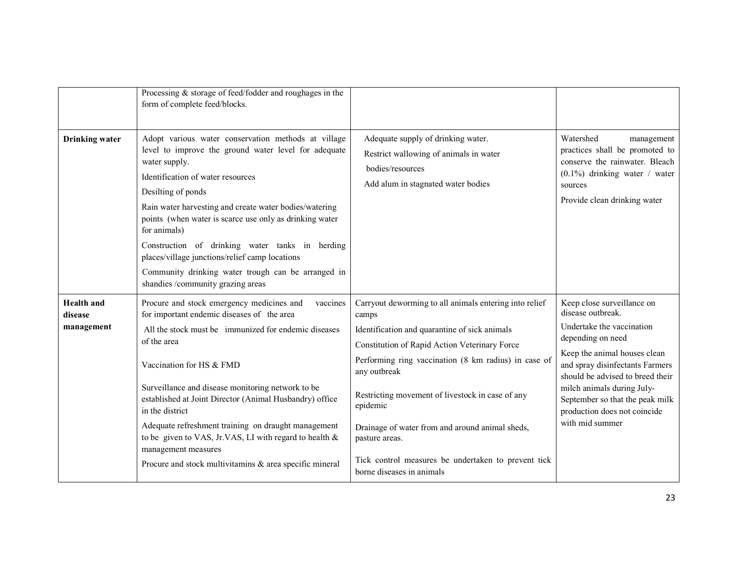|                                            | Processing $&$ storage of feed/fodder and roughages in the<br>form of complete feed/blocks.                                                                                                                                                                                                                                                                                                                                                                                                                                                  |                                                                                                                                                                                                                                                                                                                                                                                                                                                                    |                                                                                                                                                                                                                                                                                                                              |
|--------------------------------------------|----------------------------------------------------------------------------------------------------------------------------------------------------------------------------------------------------------------------------------------------------------------------------------------------------------------------------------------------------------------------------------------------------------------------------------------------------------------------------------------------------------------------------------------------|--------------------------------------------------------------------------------------------------------------------------------------------------------------------------------------------------------------------------------------------------------------------------------------------------------------------------------------------------------------------------------------------------------------------------------------------------------------------|------------------------------------------------------------------------------------------------------------------------------------------------------------------------------------------------------------------------------------------------------------------------------------------------------------------------------|
| <b>Drinking</b> water                      | Adopt various water conservation methods at village<br>level to improve the ground water level for adequate<br>water supply.<br>Identification of water resources<br>Desilting of ponds<br>Rain water harvesting and create water bodies/watering<br>points (when water is scarce use only as drinking water<br>for animals)<br>Construction of drinking water tanks in herding<br>places/village junctions/relief camp locations<br>Community drinking water trough can be arranged in<br>shandies /community grazing areas                 | Adequate supply of drinking water.<br>Restrict wallowing of animals in water<br>bodies/resources<br>Add alum in stagnated water bodies                                                                                                                                                                                                                                                                                                                             | Watershed<br>management<br>practices shall be promoted to<br>conserve the rainwater. Bleach<br>$(0.1\%)$ drinking water / water<br>sources<br>Provide clean drinking water                                                                                                                                                   |
| <b>Health</b> and<br>disease<br>management | vaccines<br>Procure and stock emergency medicines and<br>for important endemic diseases of the area<br>All the stock must be immunized for endemic diseases<br>of the area<br>Vaccination for HS & FMD<br>Surveillance and disease monitoring network to be<br>established at Joint Director (Animal Husbandry) office<br>in the district<br>Adequate refreshment training on draught management<br>to be given to VAS, Jr.VAS, LI with regard to health &<br>management measures<br>Procure and stock multivitamins & area specific mineral | Carryout deworming to all animals entering into relief<br>camps<br>Identification and quarantine of sick animals<br>Constitution of Rapid Action Veterinary Force<br>Performing ring vaccination (8 km radius) in case of<br>any outbreak<br>Restricting movement of livestock in case of any<br>epidemic<br>Drainage of water from and around animal sheds,<br>pasture areas.<br>Tick control measures be undertaken to prevent tick<br>borne diseases in animals | Keep close surveillance on<br>disease outbreak.<br>Undertake the vaccination<br>depending on need<br>Keep the animal houses clean<br>and spray disinfectants Farmers<br>should be advised to breed their<br>milch animals during July-<br>September so that the peak milk<br>production does not coincide<br>with mid summer |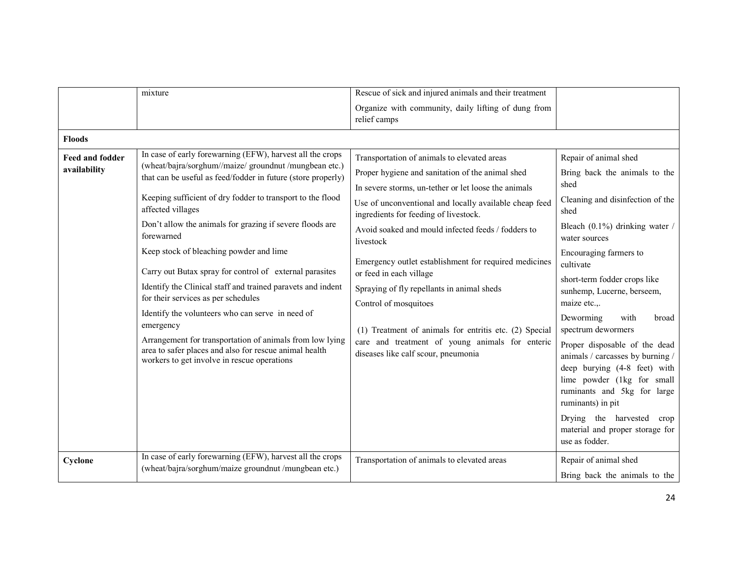|                                 | mixture                                                                                                                                                                                                                                                                                                                                                                                                                                                                                                                                                                                                                                                                                                                                                                                            | Rescue of sick and injured animals and their treatment                                                                                                                                                                                                                                                                                                                                                                                                                                                                                                                                                                                       |                                                                                                                                                                                                                                                                                                                                                                                                                                                                                                                                                                                                                       |
|---------------------------------|----------------------------------------------------------------------------------------------------------------------------------------------------------------------------------------------------------------------------------------------------------------------------------------------------------------------------------------------------------------------------------------------------------------------------------------------------------------------------------------------------------------------------------------------------------------------------------------------------------------------------------------------------------------------------------------------------------------------------------------------------------------------------------------------------|----------------------------------------------------------------------------------------------------------------------------------------------------------------------------------------------------------------------------------------------------------------------------------------------------------------------------------------------------------------------------------------------------------------------------------------------------------------------------------------------------------------------------------------------------------------------------------------------------------------------------------------------|-----------------------------------------------------------------------------------------------------------------------------------------------------------------------------------------------------------------------------------------------------------------------------------------------------------------------------------------------------------------------------------------------------------------------------------------------------------------------------------------------------------------------------------------------------------------------------------------------------------------------|
|                                 |                                                                                                                                                                                                                                                                                                                                                                                                                                                                                                                                                                                                                                                                                                                                                                                                    | Organize with community, daily lifting of dung from<br>relief camps                                                                                                                                                                                                                                                                                                                                                                                                                                                                                                                                                                          |                                                                                                                                                                                                                                                                                                                                                                                                                                                                                                                                                                                                                       |
| <b>Floods</b>                   |                                                                                                                                                                                                                                                                                                                                                                                                                                                                                                                                                                                                                                                                                                                                                                                                    |                                                                                                                                                                                                                                                                                                                                                                                                                                                                                                                                                                                                                                              |                                                                                                                                                                                                                                                                                                                                                                                                                                                                                                                                                                                                                       |
| Feed and fodder<br>availability | In case of early forewarning (EFW), harvest all the crops<br>(wheat/bajra/sorghum//maize/ groundnut /mungbean etc.)<br>that can be useful as feed/fodder in future (store properly)<br>Keeping sufficient of dry fodder to transport to the flood<br>affected villages<br>Don't allow the animals for grazing if severe floods are<br>forewarned<br>Keep stock of bleaching powder and lime<br>Carry out Butax spray for control of external parasites<br>Identify the Clinical staff and trained paravets and indent<br>for their services as per schedules<br>Identify the volunteers who can serve in need of<br>emergency<br>Arrangement for transportation of animals from low lying<br>area to safer places and also for rescue animal health<br>workers to get involve in rescue operations | Transportation of animals to elevated areas<br>Proper hygiene and sanitation of the animal shed<br>In severe storms, un-tether or let loose the animals<br>Use of unconventional and locally available cheap feed<br>ingredients for feeding of livestock.<br>Avoid soaked and mould infected feeds / fodders to<br>livestock<br>Emergency outlet establishment for required medicines<br>or feed in each village<br>Spraying of fly repellants in animal sheds<br>Control of mosquitoes<br>(1) Treatment of animals for entritis etc. (2) Special<br>care and treatment of young animals for enteric<br>diseases like calf scour, pneumonia | Repair of animal shed<br>Bring back the animals to the<br>shed<br>Cleaning and disinfection of the<br>shed<br>Bleach $(0.1\%)$ drinking water /<br>water sources<br>Encouraging farmers to<br>cultivate<br>short-term fodder crops like<br>sunhemp, Lucerne, berseem,<br>maize etc.,.<br>Deworming<br>with<br>broad<br>spectrum dewormers<br>Proper disposable of the dead<br>animals / carcasses by burning /<br>deep burying (4-8 feet) with<br>lime powder (1kg for small<br>ruminants and 5kg for large<br>ruminants) in pit<br>Drying the harvested<br>crop<br>material and proper storage for<br>use as fodder. |
| Cyclone                         | In case of early forewarning (EFW), harvest all the crops<br>(wheat/bajra/sorghum/maize groundnut /mungbean etc.)                                                                                                                                                                                                                                                                                                                                                                                                                                                                                                                                                                                                                                                                                  | Transportation of animals to elevated areas                                                                                                                                                                                                                                                                                                                                                                                                                                                                                                                                                                                                  | Repair of animal shed<br>Bring back the animals to the                                                                                                                                                                                                                                                                                                                                                                                                                                                                                                                                                                |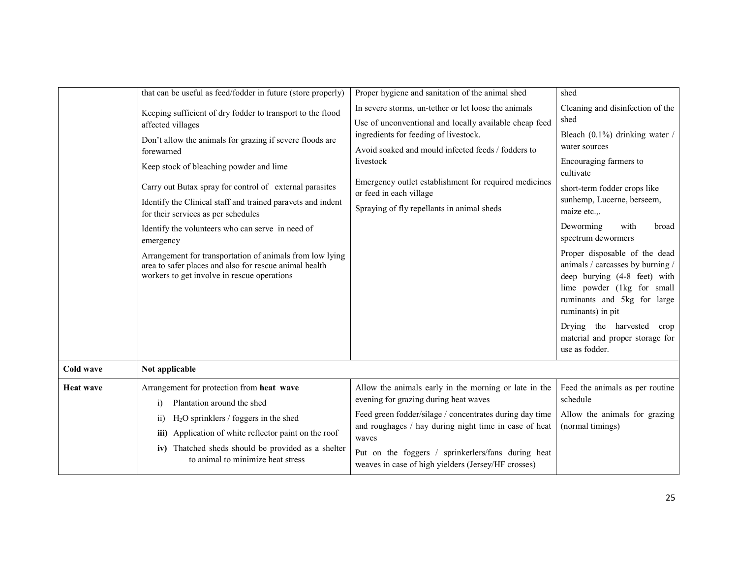|                  | that can be useful as feed/fodder in future (store properly)                                                                                                                                                                                                                                                                                                                                                                                                                                                                                                                                                | Proper hygiene and sanitation of the animal shed                                                                                                                                                                                                                                                                                                             | shed                                                                                                                                                                                                                                                                                                                                                                                                                                                                                                                                          |
|------------------|-------------------------------------------------------------------------------------------------------------------------------------------------------------------------------------------------------------------------------------------------------------------------------------------------------------------------------------------------------------------------------------------------------------------------------------------------------------------------------------------------------------------------------------------------------------------------------------------------------------|--------------------------------------------------------------------------------------------------------------------------------------------------------------------------------------------------------------------------------------------------------------------------------------------------------------------------------------------------------------|-----------------------------------------------------------------------------------------------------------------------------------------------------------------------------------------------------------------------------------------------------------------------------------------------------------------------------------------------------------------------------------------------------------------------------------------------------------------------------------------------------------------------------------------------|
|                  | Keeping sufficient of dry fodder to transport to the flood<br>affected villages<br>Don't allow the animals for grazing if severe floods are<br>forewarned<br>Keep stock of bleaching powder and lime<br>Carry out Butax spray for control of external parasites<br>Identify the Clinical staff and trained paravets and indent<br>for their services as per schedules<br>Identify the volunteers who can serve in need of<br>emergency<br>Arrangement for transportation of animals from low lying<br>area to safer places and also for rescue animal health<br>workers to get involve in rescue operations | In severe storms, un-tether or let loose the animals<br>Use of unconventional and locally available cheap feed<br>ingredients for feeding of livestock.<br>Avoid soaked and mould infected feeds / fodders to<br>livestock<br>Emergency outlet establishment for required medicines<br>or feed in each village<br>Spraying of fly repellants in animal sheds | Cleaning and disinfection of the<br>shed<br>Bleach (0.1%) drinking water /<br>water sources<br>Encouraging farmers to<br>cultivate<br>short-term fodder crops like<br>sunhemp, Lucerne, berseem,<br>maize etc<br>Deworming<br>with<br>broad<br>spectrum dewormers<br>Proper disposable of the dead<br>animals / carcasses by burning /<br>deep burying (4-8 feet) with<br>lime powder (1kg for small<br>ruminants and 5kg for large<br>ruminants) in pit<br>Drying the harvested<br>crop<br>material and proper storage for<br>use as fodder. |
| Cold wave        | Not applicable                                                                                                                                                                                                                                                                                                                                                                                                                                                                                                                                                                                              |                                                                                                                                                                                                                                                                                                                                                              |                                                                                                                                                                                                                                                                                                                                                                                                                                                                                                                                               |
| <b>Heat wave</b> | Arrangement for protection from heat wave<br>Plantation around the shed<br>$\mathbf{i}$<br>$H2O$ sprinklers / foggers in the shed<br>$\overline{11}$<br>Application of white reflector paint on the roof<br>iii)<br>iv) Thatched sheds should be provided as a shelter<br>to animal to minimize heat stress                                                                                                                                                                                                                                                                                                 | Allow the animals early in the morning or late in the<br>evening for grazing during heat waves<br>Feed green fodder/silage / concentrates during day time<br>and roughages / hay during night time in case of heat<br>waves<br>Put on the foggers / sprinkerlers/fans during heat<br>weaves in case of high yielders (Jersey/HF crosses)                     | Feed the animals as per routine<br>schedule<br>Allow the animals for grazing<br>(normal timings)                                                                                                                                                                                                                                                                                                                                                                                                                                              |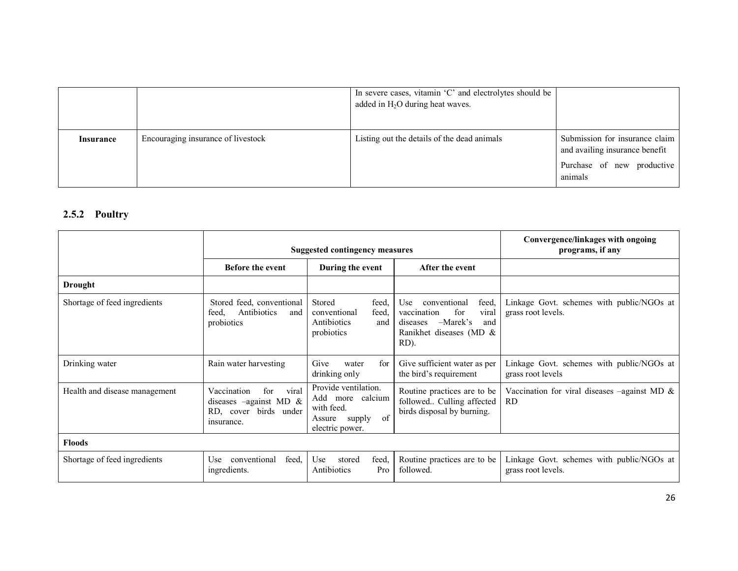|           |                                    | In severe cases, vitamin 'C' and electrolytes should be<br>added in $H_2O$ during heat waves. |                                                                                                |
|-----------|------------------------------------|-----------------------------------------------------------------------------------------------|------------------------------------------------------------------------------------------------|
| Insurance | Encouraging insurance of livestock | Listing out the details of the dead animals                                                   | Submission for insurance claim<br>and availing insurance benefit<br>Purchase of new productive |
|           |                                    |                                                                                               | animals                                                                                        |

### 2.5.2 Poultry

|                               | Suggested contingency measures                                                               |                                                                                                     |                                                                                                                                 | Convergence/linkages with ongoing<br>programs, if any              |
|-------------------------------|----------------------------------------------------------------------------------------------|-----------------------------------------------------------------------------------------------------|---------------------------------------------------------------------------------------------------------------------------------|--------------------------------------------------------------------|
|                               | <b>Before the event</b>                                                                      | During the event                                                                                    | After the event                                                                                                                 |                                                                    |
| Drought                       |                                                                                              |                                                                                                     |                                                                                                                                 |                                                                    |
| Shortage of feed ingredients  | Stored feed, conventional<br>Antibiotics<br>feed.<br>and<br>probiotics                       | Stored<br>feed.<br>conventional<br>feed,<br>Antibiotics<br>and<br>probiotics                        | feed,<br>conventional<br>Use<br>for<br>vaccination<br>viral<br>$-Marek's$<br>diseases<br>and<br>Ranikhet diseases (MD &<br>RD). | Linkage Govt. schemes with public/NGOs at<br>grass root levels.    |
| Drinking water                | Rain water harvesting                                                                        | Give<br>for<br>water<br>drinking only                                                               | Give sufficient water as per<br>the bird's requirement                                                                          | Linkage Govt. schemes with public/NGOs at<br>grass root levels     |
| Health and disease management | Vaccination<br>for<br>viral<br>diseases -against MD &<br>RD, cover birds under<br>insurance. | Provide ventilation.<br>Add more calcium<br>with feed.<br>of<br>supply<br>Assure<br>electric power. | Routine practices are to be<br>followed Culling affected<br>birds disposal by burning.                                          | Vaccination for viral diseases $-\alpha$ against MD &<br><b>RD</b> |
| <b>Floods</b>                 |                                                                                              |                                                                                                     |                                                                                                                                 |                                                                    |
| Shortage of feed ingredients  | conventional<br>feed.<br><b>Use</b><br>ingredients.                                          | feed,<br>Use<br>stored<br>Antibiotics<br>Pro                                                        | Routine practices are to be<br>followed.                                                                                        | Linkage Govt. schemes with public/NGOs at<br>grass root levels.    |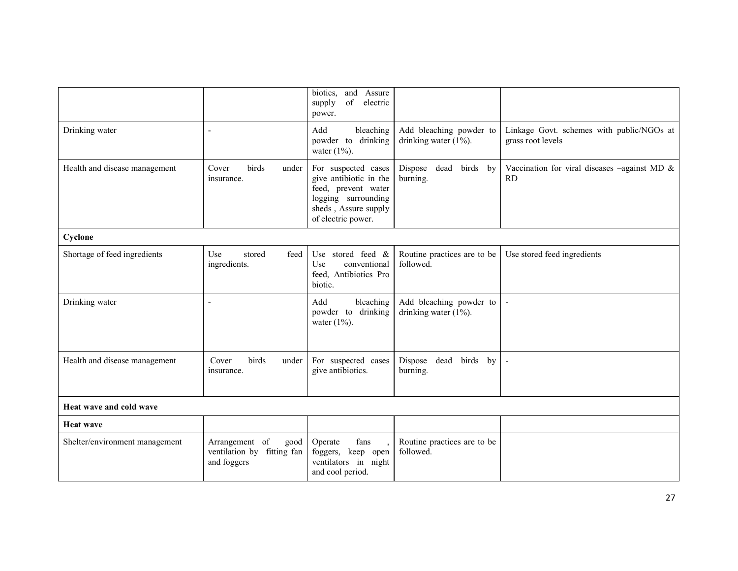|                                |                                                                     | biotics,<br>and Assure<br>$% \left( \mathcal{M}\right)$ of<br>electric<br>supply<br>power.                                                |                                                     |                                                                     |  |
|--------------------------------|---------------------------------------------------------------------|-------------------------------------------------------------------------------------------------------------------------------------------|-----------------------------------------------------|---------------------------------------------------------------------|--|
| Drinking water                 | $\overline{\phantom{a}}$                                            | Add<br>bleaching<br>powder to drinking<br>water $(1\%)$ .                                                                                 | Add bleaching powder to<br>drinking water $(1\%)$ . | Linkage Govt. schemes with public/NGOs at<br>grass root levels      |  |
| Health and disease management  | birds<br>Cover<br>under<br>insurance.                               | For suspected cases<br>give antibiotic in the<br>feed, prevent water<br>logging surrounding<br>sheds, Assure supply<br>of electric power. | Dispose dead<br>birds by<br>burning.                | Vaccination for viral diseases $-\text{against MD} \&$<br><b>RD</b> |  |
| Cyclone                        |                                                                     |                                                                                                                                           |                                                     |                                                                     |  |
| Shortage of feed ingredients   | feed<br>Use<br>stored<br>ingredients.                               | Use stored feed $\&$<br>Use<br>conventional<br>feed, Antibiotics Pro<br>biotic.                                                           | Routine practices are to be<br>followed.            | Use stored feed ingredients                                         |  |
| Drinking water                 |                                                                     | Add<br>bleaching<br>powder to drinking<br>water $(1\%)$ .                                                                                 | Add bleaching powder to<br>drinking water $(1\%)$ . |                                                                     |  |
| Health and disease management  | birds<br>Cover<br>under<br>insurance.                               | For suspected cases<br>give antibiotics.                                                                                                  | dead<br>Dispose<br>birds by<br>burning.             |                                                                     |  |
| Heat wave and cold wave        |                                                                     |                                                                                                                                           |                                                     |                                                                     |  |
| <b>Heat wave</b>               |                                                                     |                                                                                                                                           |                                                     |                                                                     |  |
| Shelter/environment management | Arrangement of<br>good<br>ventilation by fitting fan<br>and foggers | Operate<br>fans<br>foggers, keep open<br>ventilators in night<br>and cool period.                                                         | Routine practices are to be<br>followed.            |                                                                     |  |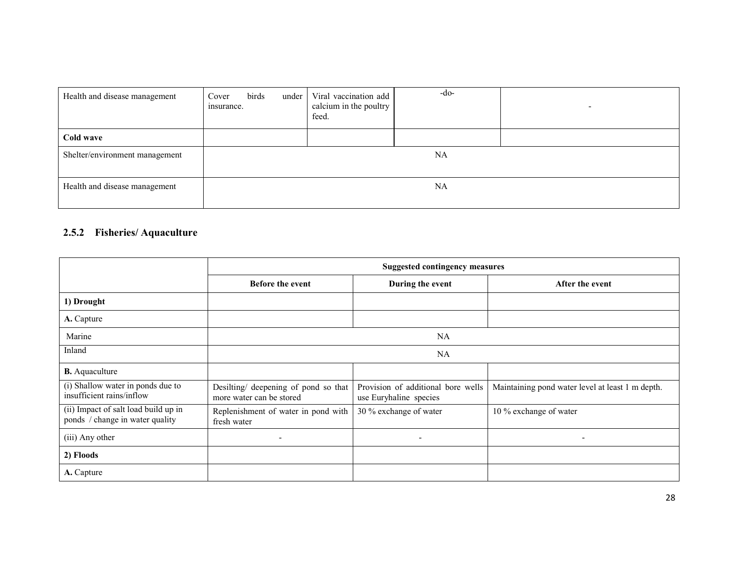| Health and disease management  | birds<br>Cover<br>under  <br>insurance. | Viral vaccination add<br>calcium in the poultry<br>feed. | -do-      |  |
|--------------------------------|-----------------------------------------|----------------------------------------------------------|-----------|--|
| Cold wave                      |                                         |                                                          |           |  |
| Shelter/environment management |                                         |                                                          | NA        |  |
| Health and disease management  |                                         |                                                          | <b>NA</b> |  |

## 2.5.2 Fisheries/ Aquaculture

|                                                                         | <b>Suggested contingency measures</b>                            |                                                              |                                                  |  |  |
|-------------------------------------------------------------------------|------------------------------------------------------------------|--------------------------------------------------------------|--------------------------------------------------|--|--|
|                                                                         | <b>Before the event</b>                                          | During the event                                             | After the event                                  |  |  |
| 1) Drought                                                              |                                                                  |                                                              |                                                  |  |  |
| A. Capture                                                              |                                                                  |                                                              |                                                  |  |  |
| Marine                                                                  |                                                                  | NA                                                           |                                                  |  |  |
| Inland                                                                  | NA                                                               |                                                              |                                                  |  |  |
| <b>B.</b> Aquaculture                                                   |                                                                  |                                                              |                                                  |  |  |
| (i) Shallow water in ponds due to<br>insufficient rains/inflow          | Desilting/ deepening of pond so that<br>more water can be stored | Provision of additional bore wells<br>use Euryhaline species | Maintaining pond water level at least 1 m depth. |  |  |
| (ii) Impact of salt load build up in<br>ponds / change in water quality | Replenishment of water in pond with<br>fresh water               | 30 % exchange of water                                       | 10 % exchange of water                           |  |  |
| (iii) Any other                                                         | $\overline{\phantom{a}}$                                         |                                                              | ٠                                                |  |  |
| 2) Floods                                                               |                                                                  |                                                              |                                                  |  |  |
| A. Capture                                                              |                                                                  |                                                              |                                                  |  |  |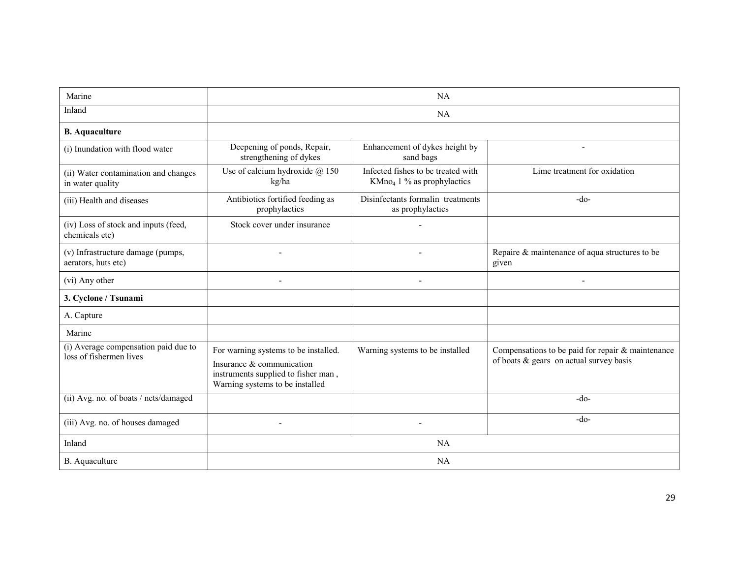| Marine                                                          | NA                                                                                                                                          |                                                                              |                                                                                                 |  |
|-----------------------------------------------------------------|---------------------------------------------------------------------------------------------------------------------------------------------|------------------------------------------------------------------------------|-------------------------------------------------------------------------------------------------|--|
| Inland                                                          |                                                                                                                                             |                                                                              |                                                                                                 |  |
| <b>B.</b> Aquaculture                                           |                                                                                                                                             |                                                                              |                                                                                                 |  |
| (i) Inundation with flood water                                 | Deepening of ponds, Repair,<br>strengthening of dykes                                                                                       | Enhancement of dykes height by<br>sand bags                                  |                                                                                                 |  |
| (ii) Water contamination and changes<br>in water quality        | Use of calcium hydroxide @ 150<br>kg/ha                                                                                                     | Infected fishes to be treated with<br>KMno <sub>4</sub> 1 % as prophylactics | Lime treatment for oxidation                                                                    |  |
| (iii) Health and diseases                                       | Antibiotics fortified feeding as<br>prophylactics                                                                                           | Disinfectants formalin treatments<br>as prophylactics                        | $-do-$                                                                                          |  |
| (iv) Loss of stock and inputs (feed,<br>chemicals etc)          | Stock cover under insurance                                                                                                                 |                                                                              |                                                                                                 |  |
| (v) Infrastructure damage (pumps,<br>aerators, huts etc)        |                                                                                                                                             |                                                                              | Repaire & maintenance of aqua structures to be<br>given                                         |  |
| (vi) Any other                                                  |                                                                                                                                             |                                                                              |                                                                                                 |  |
| 3. Cyclone / Tsunami                                            |                                                                                                                                             |                                                                              |                                                                                                 |  |
| A. Capture                                                      |                                                                                                                                             |                                                                              |                                                                                                 |  |
| Marine                                                          |                                                                                                                                             |                                                                              |                                                                                                 |  |
| (i) Average compensation paid due to<br>loss of fishermen lives | For warning systems to be installed.<br>Insurance & communication<br>instruments supplied to fisher man,<br>Warning systems to be installed | Warning systems to be installed                                              | Compensations to be paid for repair & maintenance<br>of boats $\&$ gears on actual survey basis |  |
| (ii) Avg. no. of boats / nets/damaged                           |                                                                                                                                             |                                                                              | $-do-$                                                                                          |  |
| (iii) Avg. no. of houses damaged                                |                                                                                                                                             |                                                                              | $-do-$                                                                                          |  |
| Inland                                                          |                                                                                                                                             |                                                                              |                                                                                                 |  |
| B. Aquaculture                                                  | NA                                                                                                                                          |                                                                              |                                                                                                 |  |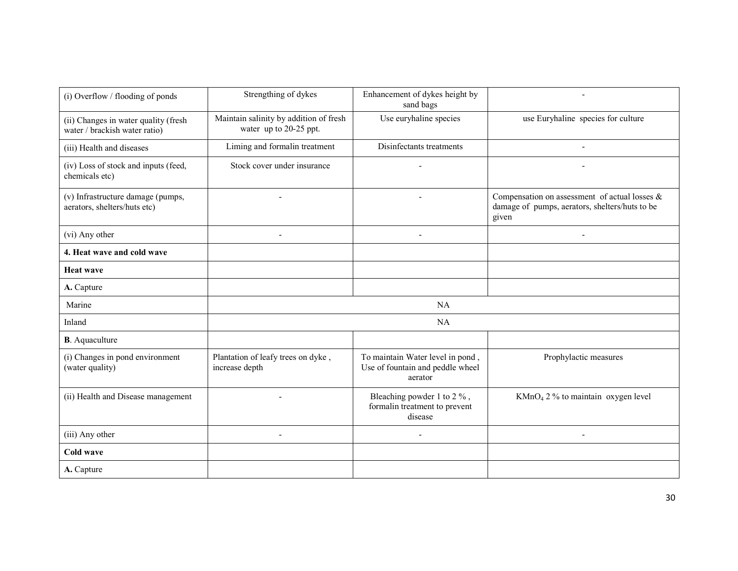| (i) Overflow / flooding of ponds                                      | Strengthing of dykes                                             | Enhancement of dykes height by<br>sand bags                                     |                                                                                                          |
|-----------------------------------------------------------------------|------------------------------------------------------------------|---------------------------------------------------------------------------------|----------------------------------------------------------------------------------------------------------|
| (ii) Changes in water quality (fresh<br>water / brackish water ratio) | Maintain salinity by addition of fresh<br>water up to 20-25 ppt. | Use euryhaline species                                                          | use Euryhaline species for culture                                                                       |
| (iii) Health and diseases                                             | Liming and formalin treatment                                    | Disinfectants treatments                                                        |                                                                                                          |
| (iv) Loss of stock and inputs (feed,<br>chemicals etc)                | Stock cover under insurance                                      |                                                                                 |                                                                                                          |
| (v) Infrastructure damage (pumps,<br>aerators, shelters/huts etc)     |                                                                  |                                                                                 | Compensation on assessment of actual losses &<br>damage of pumps, aerators, shelters/huts to be<br>given |
| (vi) Any other                                                        | $\overline{\phantom{a}}$                                         | $\overline{\phantom{a}}$                                                        | $\overline{\phantom{a}}$                                                                                 |
| 4. Heat wave and cold wave                                            |                                                                  |                                                                                 |                                                                                                          |
| <b>Heat wave</b>                                                      |                                                                  |                                                                                 |                                                                                                          |
| A. Capture                                                            |                                                                  |                                                                                 |                                                                                                          |
| Marine                                                                |                                                                  | NA                                                                              |                                                                                                          |
| Inland                                                                |                                                                  | NA                                                                              |                                                                                                          |
| <b>B</b> . Aquaculture                                                |                                                                  |                                                                                 |                                                                                                          |
| (i) Changes in pond environment<br>(water quality)                    | Plantation of leafy trees on dyke,<br>increase depth             | To maintain Water level in pond,<br>Use of fountain and peddle wheel<br>aerator | Prophylactic measures                                                                                    |
| (ii) Health and Disease management                                    |                                                                  | Bleaching powder 1 to 2 %,<br>formalin treatment to prevent<br>disease          | $KMnO4 2 %$ to maintain oxygen level                                                                     |
| (iii) Any other                                                       |                                                                  |                                                                                 | $\overline{\phantom{a}}$                                                                                 |
| <b>Cold wave</b>                                                      |                                                                  |                                                                                 |                                                                                                          |
| A. Capture                                                            |                                                                  |                                                                                 |                                                                                                          |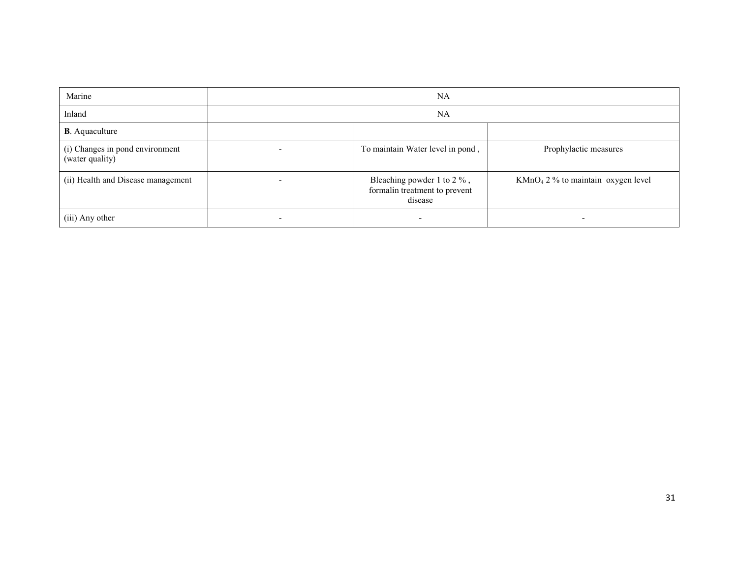| Marine                                             |  |                                                                           |                                      |
|----------------------------------------------------|--|---------------------------------------------------------------------------|--------------------------------------|
| Inland                                             |  | <b>NA</b>                                                                 |                                      |
| <b>B</b> . Aquaculture                             |  |                                                                           |                                      |
| (i) Changes in pond environment<br>(water quality) |  | To maintain Water level in pond,                                          | Prophylactic measures                |
| (ii) Health and Disease management                 |  | Bleaching powder 1 to $2\%$ ,<br>formalin treatment to prevent<br>disease | $KMnO4 2 %$ to maintain oxygen level |
| (iii) Any other                                    |  |                                                                           |                                      |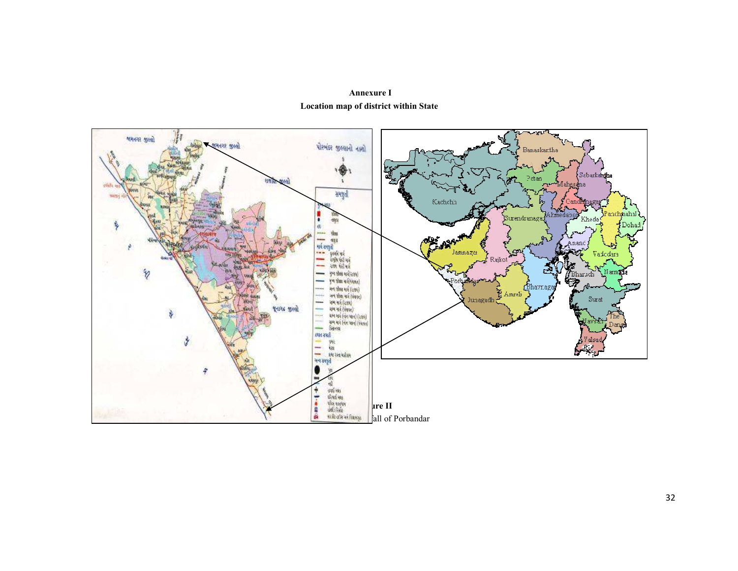

 Annexure I Location map of district within State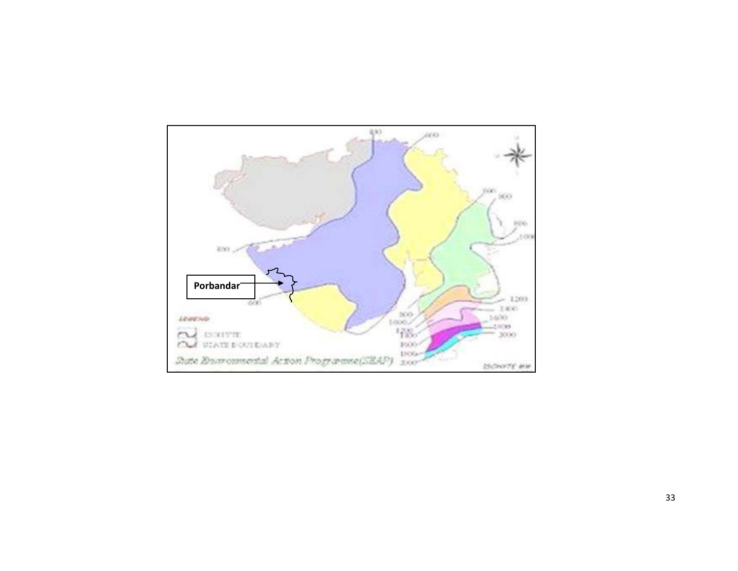